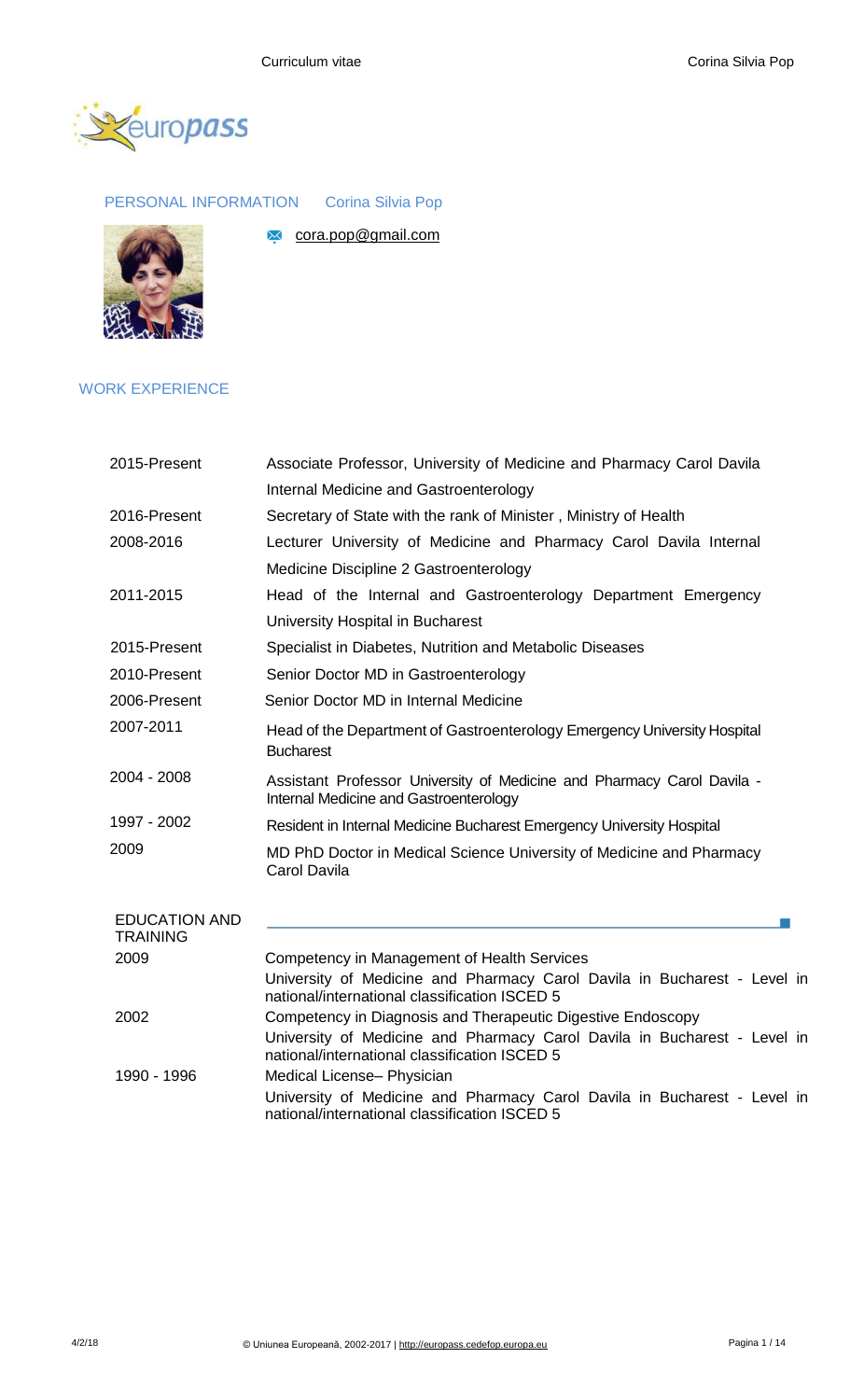[cora.pop@gmail.com](mailto:cora.pop@gmail.com)



PERSONAL INFORMATION Corina Silvia Pop



## WORK EXPERIENCE

| 2015-Present                            | Associate Professor, University of Medicine and Pharmacy Carol Davila                                                     |  |  |
|-----------------------------------------|---------------------------------------------------------------------------------------------------------------------------|--|--|
|                                         | Internal Medicine and Gastroenterology                                                                                    |  |  |
| 2016-Present                            | Secretary of State with the rank of Minister, Ministry of Health                                                          |  |  |
| 2008-2016                               | Lecturer University of Medicine and Pharmacy Carol Davila Internal                                                        |  |  |
|                                         | Medicine Discipline 2 Gastroenterology                                                                                    |  |  |
| 2011-2015                               | Head of the Internal and Gastroenterology Department Emergency                                                            |  |  |
|                                         | University Hospital in Bucharest                                                                                          |  |  |
| 2015-Present                            | Specialist in Diabetes, Nutrition and Metabolic Diseases                                                                  |  |  |
| 2010-Present                            | Senior Doctor MD in Gastroenterology                                                                                      |  |  |
| 2006-Present                            | Senior Doctor MD in Internal Medicine                                                                                     |  |  |
| 2007-2011                               | Head of the Department of Gastroenterology Emergency University Hospital<br><b>Bucharest</b>                              |  |  |
| 2004 - 2008                             | Assistant Professor University of Medicine and Pharmacy Carol Davila -<br>Internal Medicine and Gastroenterology          |  |  |
| 1997 - 2002                             | Resident in Internal Medicine Bucharest Emergency University Hospital                                                     |  |  |
| 2009                                    | MD PhD Doctor in Medical Science University of Medicine and Pharmacy<br><b>Carol Davila</b>                               |  |  |
| <b>EDUCATION AND</b><br><b>TRAINING</b> |                                                                                                                           |  |  |
| 2009                                    | Competency in Management of Health Services                                                                               |  |  |
|                                         | University of Medicine and Pharmacy Carol Davila in Bucharest - Level in<br>national/international classification ISCED 5 |  |  |
| 2002                                    | Competency in Diagnosis and Therapeutic Digestive Endoscopy                                                               |  |  |
|                                         | University of Medicine and Pharmacy Carol Davila in Bucharest - Level in<br>national/international classification ISCED 5 |  |  |
| 1990 - 1996                             | Medical License- Physician                                                                                                |  |  |
|                                         | University of Medicine and Pharmacy Carol Davila in Bucharest - Level in<br>national/international classification ISCED 5 |  |  |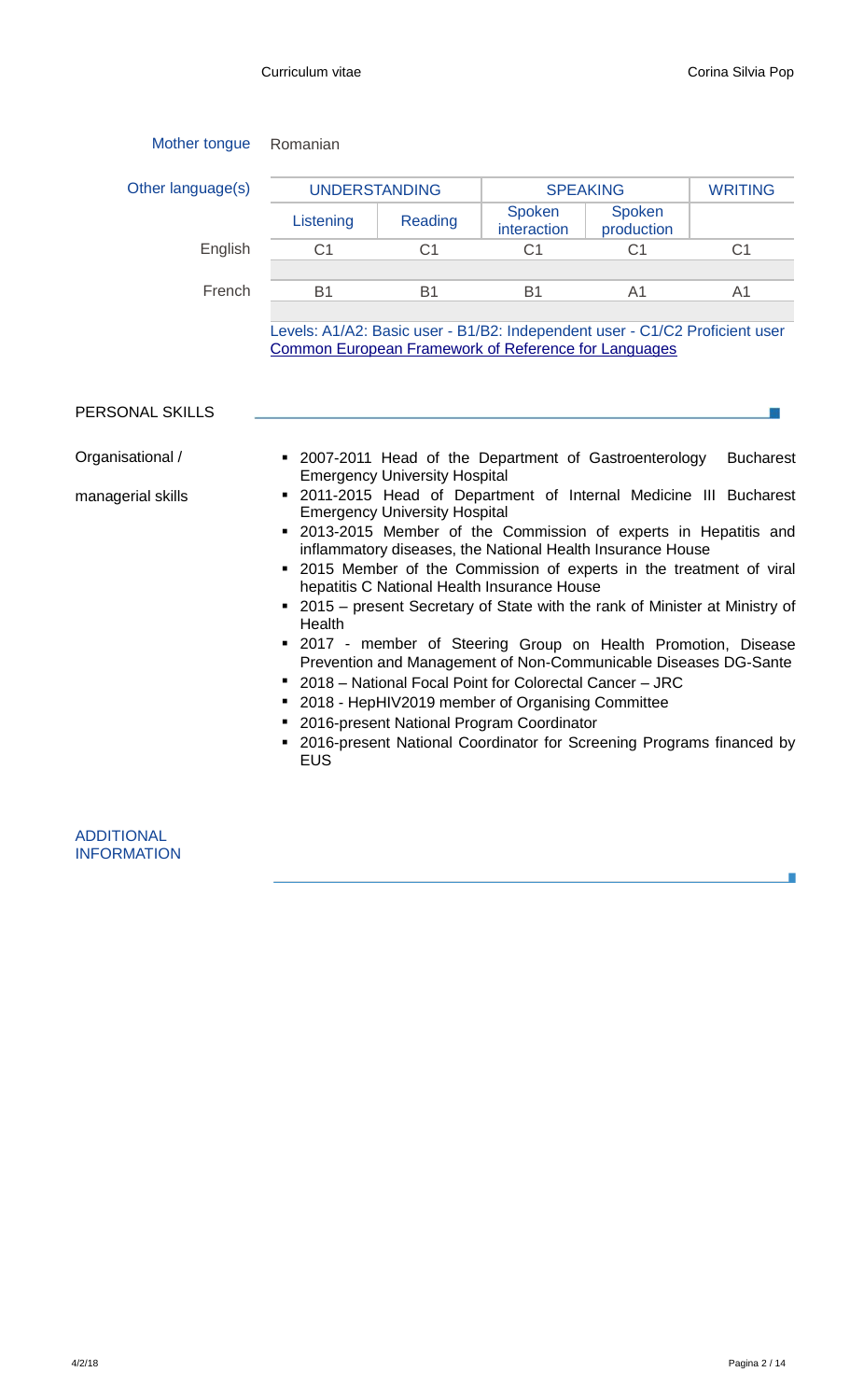| Mother tongue                         | Romanian                                                                                                                            |                                                                              |                                                                                                                                                                                                         |                                                                                                                      |                                                                                                                                                                                                                                                                                                                                                                                                                                                                                                                              |
|---------------------------------------|-------------------------------------------------------------------------------------------------------------------------------------|------------------------------------------------------------------------------|---------------------------------------------------------------------------------------------------------------------------------------------------------------------------------------------------------|----------------------------------------------------------------------------------------------------------------------|------------------------------------------------------------------------------------------------------------------------------------------------------------------------------------------------------------------------------------------------------------------------------------------------------------------------------------------------------------------------------------------------------------------------------------------------------------------------------------------------------------------------------|
| Other language(s)                     | <b>UNDERSTANDING</b>                                                                                                                |                                                                              | <b>SPEAKING</b>                                                                                                                                                                                         |                                                                                                                      | <b>WRITING</b>                                                                                                                                                                                                                                                                                                                                                                                                                                                                                                               |
|                                       | Listening                                                                                                                           | Reading                                                                      | <b>Spoken</b><br>interaction                                                                                                                                                                            | Spoken<br>production                                                                                                 |                                                                                                                                                                                                                                                                                                                                                                                                                                                                                                                              |
| English                               | C <sub>1</sub>                                                                                                                      | C <sub>1</sub>                                                               | C <sub>1</sub>                                                                                                                                                                                          | C <sub>1</sub>                                                                                                       | C <sub>1</sub>                                                                                                                                                                                                                                                                                                                                                                                                                                                                                                               |
| French                                | <b>B1</b>                                                                                                                           | <b>B1</b>                                                                    | <b>B1</b>                                                                                                                                                                                               | A <sub>1</sub>                                                                                                       | A <sub>1</sub>                                                                                                                                                                                                                                                                                                                                                                                                                                                                                                               |
|                                       | Levels: A1/A2: Basic user - B1/B2: Independent user - C1/C2 Proficient user<br>Common European Framework of Reference for Languages |                                                                              |                                                                                                                                                                                                         |                                                                                                                      |                                                                                                                                                                                                                                                                                                                                                                                                                                                                                                                              |
| PERSONAL SKILLS                       |                                                                                                                                     |                                                                              |                                                                                                                                                                                                         |                                                                                                                      |                                                                                                                                                                                                                                                                                                                                                                                                                                                                                                                              |
| Organisational /<br>managerial skills | Health<br><b>EUS</b>                                                                                                                | <b>Emergency University Hospital</b><br><b>Emergency University Hospital</b> | hepatitis C National Health Insurance House<br>2018 – National Focal Point for Colorectal Cancer – JRC<br>2018 - HepHIV2019 member of Organising Committee<br>2016-present National Program Coordinator | • 2007-2011 Head of the Department of Gastroenterology<br>inflammatory diseases, the National Health Insurance House | <b>Bucharest</b><br>" 2011-2015 Head of Department of Internal Medicine III Bucharest<br>2013-2015 Member of the Commission of experts in Hepatitis and<br>• 2015 Member of the Commission of experts in the treatment of viral<br>• 2015 - present Secretary of State with the rank of Minister at Ministry of<br>" 2017 - member of Steering Group on Health Promotion, Disease<br>Prevention and Management of Non-Communicable Diseases DG-Sante<br>2016-present National Coordinator for Screening Programs financed by |

| <b>ADDITIONAL</b>  |
|--------------------|
| <b>INFORMATION</b> |

F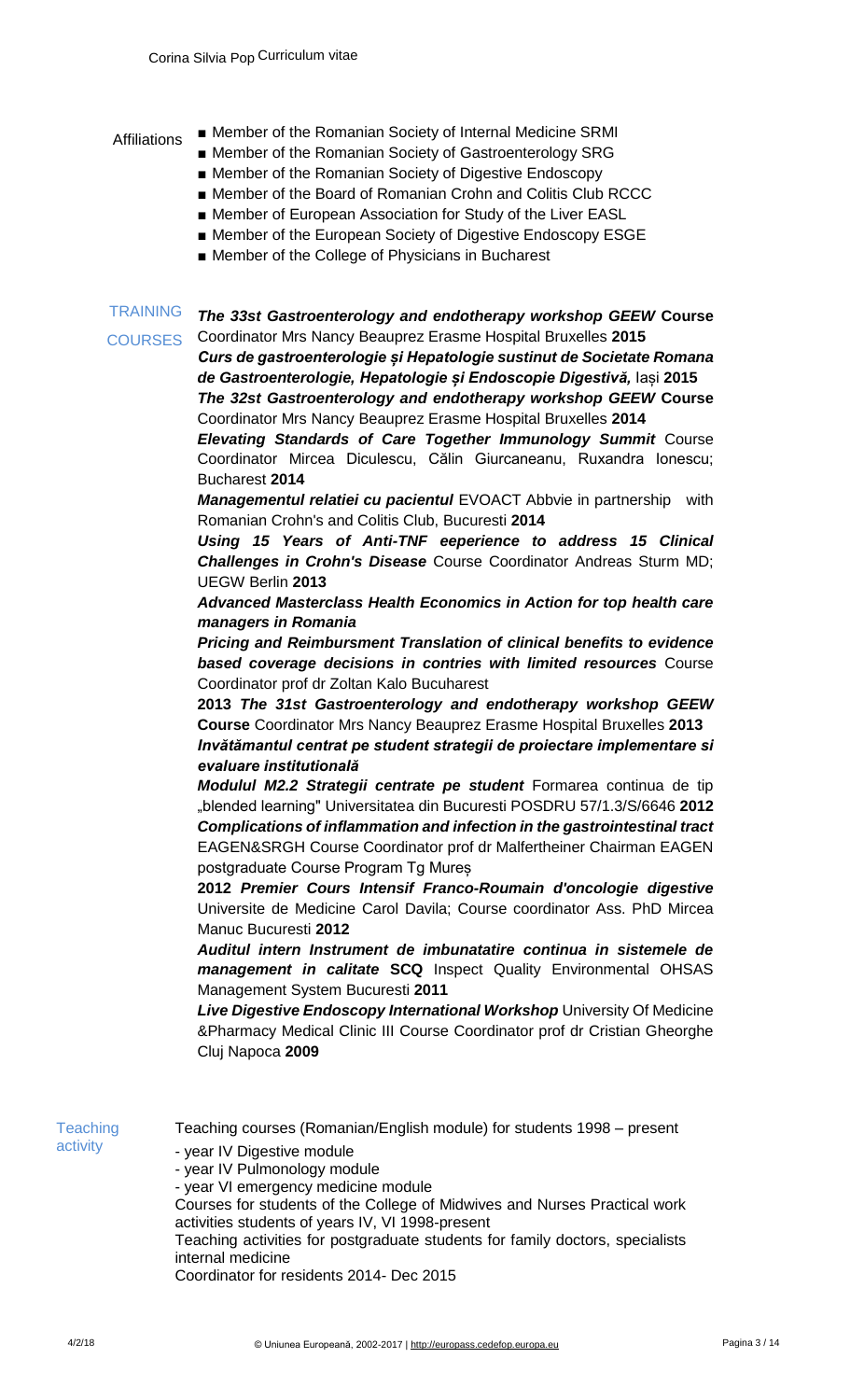- Affiliations Member of the Romanian Society of Internal Medicine SRMI
	- Member of the Romanian Society of Gastroenterology SRG
	- Member of the Romanian Society of Digestive Endoscopy
	- Member of the Board of Romanian Crohn and Colitis Club RCCC
	- Member of European Association for Study of the Liver EASL
	- Member of the European Society of Digestive Endoscopy ESGE
	- Member of the College of Physicians in Bucharest

**TRAINING COURSES** *The 33st Gastroenterology and endotherapy workshop GEEW* **Course**  Coordinator Mrs Nancy Beauprez Erasme Hospital Bruxelles **2015** *Curs de gastroenterologie și Hepatologie sustinut de Societate Romana* 

*de Gastroenterologie, Hepatologie și Endoscopie Digestivă,* Iași **2015** *The 32st Gastroenterology and endotherapy workshop GEEW* **Course**  Coordinator Mrs Nancy Beauprez Erasme Hospital Bruxelles **2014**

*Elevating Standards of Care Together Immunology Summit* Course Coordinator Mircea Diculescu, Călin Giurcaneanu, Ruxandra Ionescu; Bucharest **2014**

*Managementul relatiei cu pacientul* EVOACT Abbvie in partnership with Romanian Crohn's and Colitis Club, Bucuresti **2014**

*Using 15 Years of Anti-TNF eeperience to address 15 Clinical Challenges in Crohn's Disease* Course Coordinator Andreas Sturm MD; UEGW Berlin **2013**

*Advanced Masterclass Health Economics in Action for top health care managers in Romania*

*Pricing and Reimbursment Translation of clinical benefits to evidence based coverage decisions in contries with limited resources* Course Coordinator prof dr Zoltan Kalo Bucuharest

**2013** *The 31st Gastroenterology and endotherapy workshop GEEW*  **Course** Coordinator Mrs Nancy Beauprez Erasme Hospital Bruxelles **2013** *Invătămantul centrat pe student strategii de proiectare implementare si evaluare institutională*

*Modulul M2.2 Strategii centrate pe student* Formarea continua de tip "blended learning" Universitatea din Bucuresti POSDRU 57/1.3/S/6646 **2012** *Complications of inflammation and infection in the gastrointestinal tract*  EAGEN&SRGH Course Coordinator prof dr Malfertheiner Chairman EAGEN postgraduate Course Program Tg Mureș

**2012** *Premier Cours Intensif Franco-Roumain d'oncologie digestive*  Universite de Medicine Carol Davila; Course coordinator Ass. PhD Mircea Manuc Bucuresti **2012**

*Auditul intern Instrument de imbunatatire continua in sistemele de management in calitate* **SCQ** Inspect Quality Environmental OHSAS Management System Bucuresti **2011**

**Live Digestive Endoscopy International Workshop University Of Medicine** &Pharmacy Medical Clinic III Course Coordinator prof dr Cristian Gheorghe Cluj Napoca **2009**

**Teaching** activity

Teaching courses (Romanian/English module) for students 1998 – present

- year IV Digestive module
- year IV Pulmonology module
- year VI emergency medicine module
- Courses for students of the College of Midwives and Nurses Practical work activities students of years IV, VI 1998-present

Teaching activities for postgraduate students for family doctors, specialists internal medicine

Coordinator for residents 2014- Dec 2015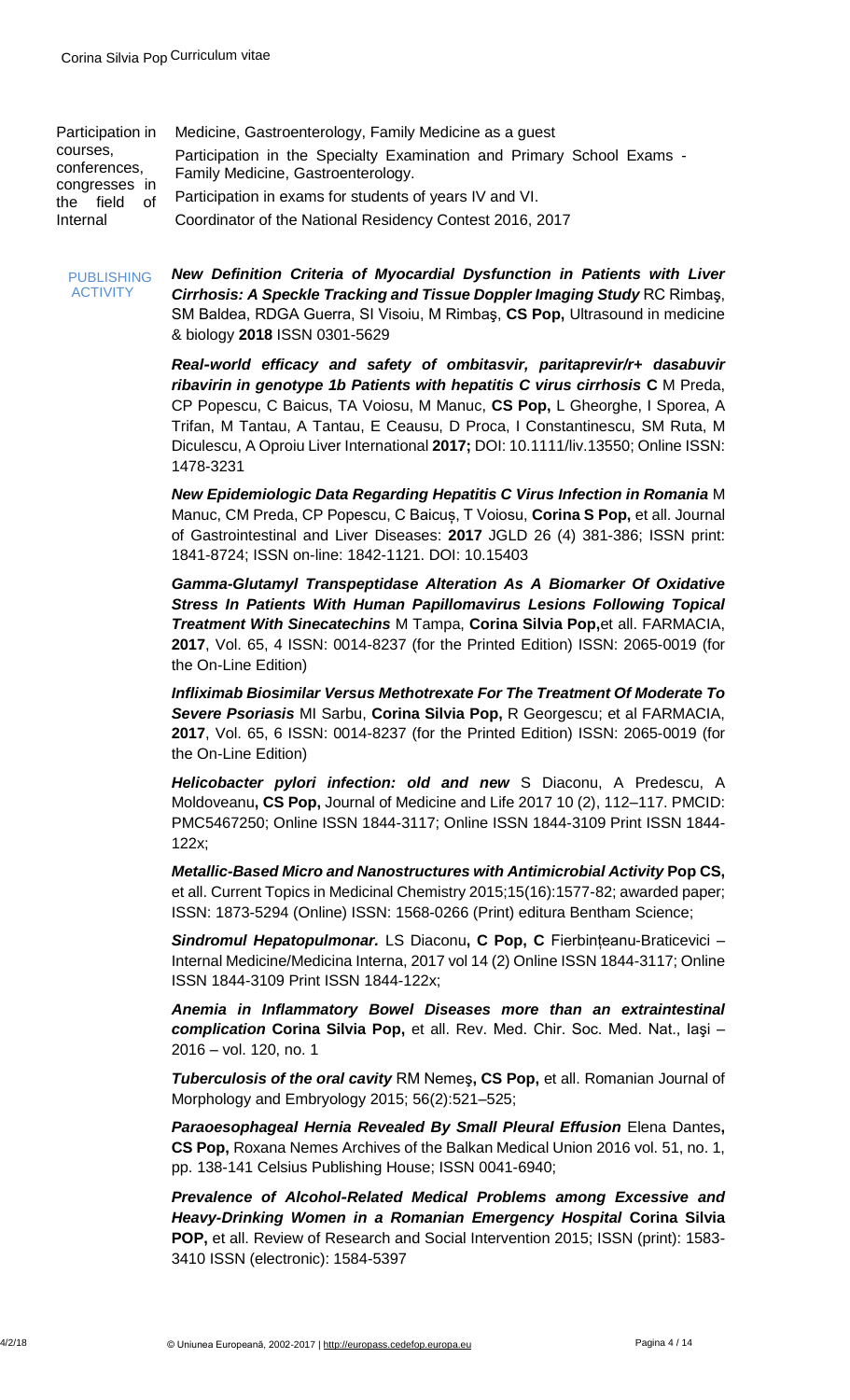| Participation in                                                   | Medicine, Gastroenterology, Family Medicine as a guest                                                      |
|--------------------------------------------------------------------|-------------------------------------------------------------------------------------------------------------|
| courses,<br>conferences,<br>congresses in<br>the field<br>Internal | Participation in the Specialty Examination and Primary School Exams -<br>Family Medicine, Gastroenterology. |
|                                                                    | Participation in exams for students of years IV and VI.                                                     |
|                                                                    | Coordinator of the National Residency Contest 2016, 2017                                                    |

PUBLISHING ACTIVITY

*New Definition Criteria of Myocardial Dysfunction in Patients with Liver Cirrhosis: A Speckle Tracking and Tissue Doppler Imaging Study* RC Rimbaş, SM Baldea, RDGA Guerra, SI Visoiu, M Rimbaş, **CS Pop,** Ultrasound in medicine & biology **2018** ISSN 0301-5629

*Real‐world efficacy and safety of ombitasvir, paritaprevir/r+ dasabuvir ribavirin in genotype 1b Patients with hepatitis C virus cirrhosis* **C** M Preda, CP Popescu, C Baicus, TA Voiosu, M Manuc, **CS Pop,** L Gheorghe, I Sporea, A Trifan, M Tantau, A Tantau, E Ceausu, D Proca, I Constantinescu, SM Ruta, M Diculescu, A Oproiu Liver International **2017;** DOI: 10.1111/liv.13550; Online ISSN: 1478-3231

*New Epidemiologic Data Regarding Hepatitis C Virus Infection in Romania* M Manuc, CM Preda, CP Popescu, C Baicuș, T Voiosu, **Corina S Pop,** et all. Journal of Gastrointestinal and Liver Diseases: **2017** JGLD 26 (4) 381-386; ISSN print: 1841-8724; ISSN on-line: 1842-1121. DOI: 10.15403

*Gamma-Glutamyl Transpeptidase Alteration As A Biomarker Of Oxidative Stress In Patients With Human Papillomavirus Lesions Following Topical Treatment With Sinecatechins* M Tampa, **Corina Silvia Pop,**et all. FARMACIA, **2017**, Vol. 65, 4 ISSN: 0014-8237 (for the Printed Edition) ISSN: 2065-0019 (for the On-Line Edition)

*Infliximab Biosimilar Versus Methotrexate For The Treatment Of Moderate To Severe Psoriasis* MI Sarbu, **Corina Silvia Pop,** R Georgescu; et al FARMACIA, **2017**, Vol. 65, 6 ISSN: 0014-8237 (for the Printed Edition) ISSN: 2065-0019 (for the On-Line Edition)

*Helicobacter pylori infection: old and new* S Diaconu, A Predescu, A Moldoveanu**, CS Pop,** Journal of Medicine and Life 2017 10 (2), 112–117. PMCID: PMC5467250; Online ISSN 1844-3117; Online ISSN 1844-3109 Print ISSN 1844- 122x;

*Metallic-Based Micro and Nanostructures with Antimicrobial Activity* **Pop CS,**  et all. Current Topics in Medicinal Chemistry 2015;15(16):1577-82; awarded paper; ISSN: 1873-5294 (Online) ISSN: 1568-0266 (Print) editura Bentham Science;

*Sindromul Hepatopulmonar.* LS Diaconu**, C Pop, C** Fierbințeanu-Braticevici – Internal Medicine/Medicina Interna, 2017 vol 14 (2) Online ISSN 1844-3117; Online ISSN 1844-3109 Print ISSN 1844-122x;

*Anemia in Inflammatory Bowel Diseases more than an extraintestinal complication* **Corina Silvia Pop,** et all. Rev. Med. Chir. Soc. Med. Nat., Iaşi – 2016 – vol. 120, no. 1

*Tuberculosis of the oral cavity* RM Nemeş**, CS Pop,** et all. Romanian Journal of Morphology and Embryology 2015; 56(2):521–525;

**Paraoesophageal Hernia Revealed By Small Pleural Effusion Elena Dantes, CS Pop,** Roxana Nemes Archives of the Balkan Medical Union 2016 vol. 51, no. 1, pp. 138-141 Celsius Publishing House; ISSN 0041-6940;

*Prevalence of Alcohol‐Related Medical Problems among Excessive and Heavy-Drinking Women in a Romanian Emergency Hospital* **Corina Silvia POP,** et all. Review of Research and Social Intervention 2015; ISSN (print): 1583- 3410 ISSN (electronic): 1584-5397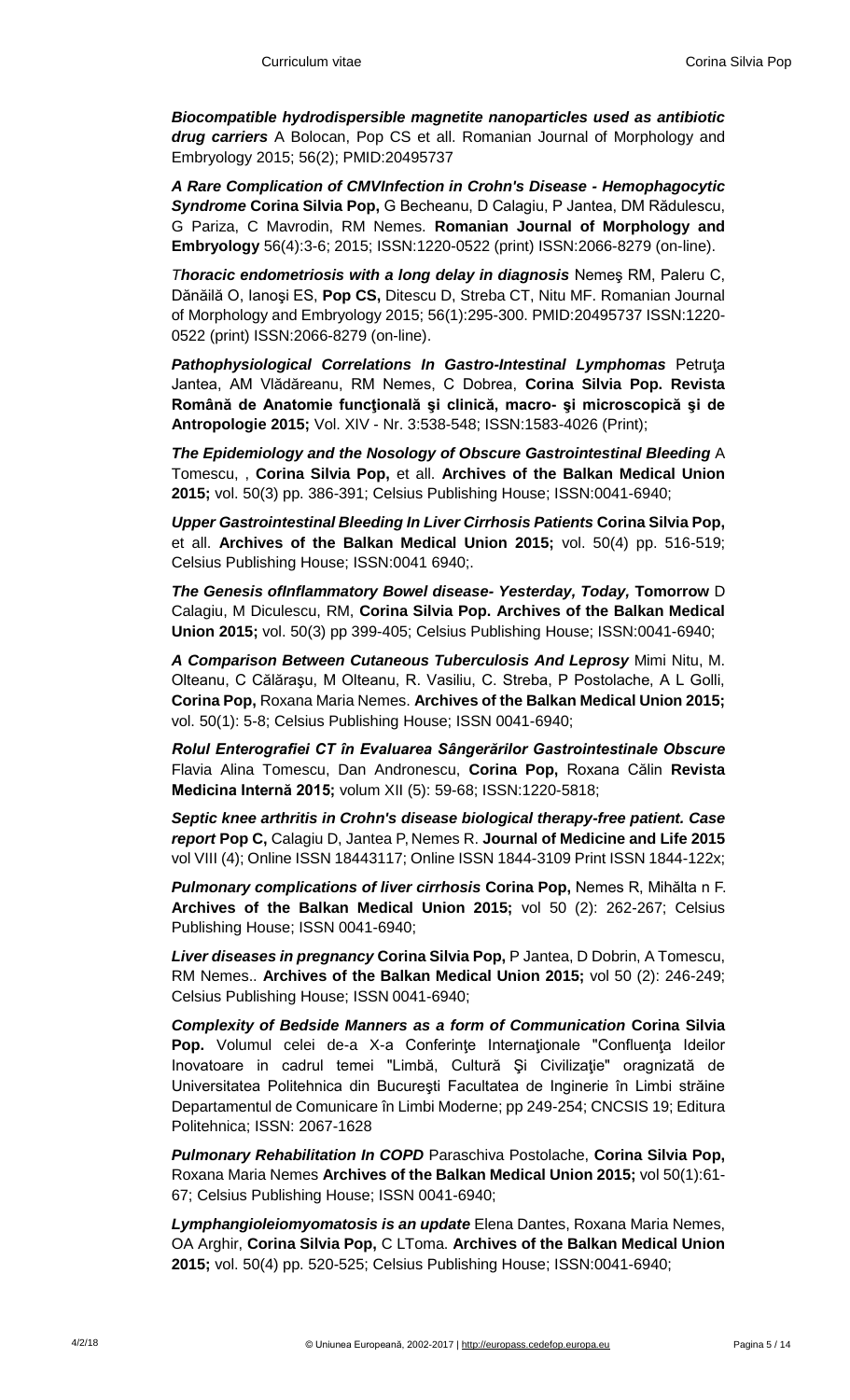*Biocompatible hydrodispersible magnetite nanoparticles used as antibiotic drug carriers* A Bolocan, Pop CS et all. Romanian Journal of Morphology and Embryology 2015; 56(2); PMID:20495737

*A Rare Complication of CMVInfection in Crohn's Disease - Hemophagocytic Syndrome* **Corina Silvia Pop,** G Becheanu, D Calagiu, P Jantea, DM Rădulescu, G Pariza, C Mavrodin, RM Nemes. **Romanian Journal of Morphology and Embryology** 56(4):3-6; 2015; ISSN:1220-0522 (print) ISSN:2066-8279 (on-line).

*Thoracic endometriosis with a long delay in diagnosis Nemes RM, Paleru C,* Dănăilă O, Ianoşi ES, **Pop CS,** Ditescu D, Streba CT, Nitu MF. Romanian Journal of Morphology and Embryology 2015; 56(1):295-300. PMID:20495737 ISSN:1220- 0522 (print) ISSN:2066-8279 (on-line).

*Pathophysiological Correlations In Gastro-Intestinal Lymphomas* Petruţa Jantea, AM Vlădăreanu, RM Nemes, C Dobrea, **Corina Silvia Pop. Revista Română de Anatomie funcţională şi clinică, macro- şi microscopică şi de Antropologie 2015;** Vol. XIV - Nr. 3:538-548; ISSN:1583-4026 (Print);

*The Epidemiology and the Nosology of Obscure Gastrointestinal Bleeding* A Tomescu, , **Corina Silvia Pop,** et all. **Archives of the Balkan Medical Union 2015;** vol. 50(3) pp. 386-391; Celsius Publishing House; ISSN:0041-6940;

*Upper Gastrointestinal Bleeding In Liver Cirrhosis Patients* **Corina Silvia Pop,**  et all. **Archives of the Balkan Medical Union 2015;** vol. 50(4) pp. 516-519; Celsius Publishing House; ISSN:0041 6940;.

*The Genesis ofInflammatory Bowel disease- Yesterday, Today,* **Tomorrow** D Calagiu, M Diculescu, RM, **Corina Silvia Pop. Archives of the Balkan Medical Union 2015;** vol. 50(3) pp 399-405; Celsius Publishing House; ISSN:0041-6940;

*A Comparison Between Cutaneous Tuberculosis And Leprosy* Mimi Nitu, M. Olteanu, C Călăraşu, M Olteanu, R. Vasiliu, C. Streba, P Postolache, A L Golli, **Corina Pop,** Roxana Maria Nemes. **Archives of the Balkan Medical Union 2015;**  vol. 50(1): 5-8; Celsius Publishing House; ISSN 0041-6940;

*Rolul Enterografiei CT în Evaluarea Sângerărilor Gastrointestinale Obscure*  Flavia Alina Tomescu, Dan Andronescu, **Corina Pop,** Roxana Călin **Revista Medicina Internă 2015;** volum XII (5): 59-68; ISSN:1220-5818;

*Septic knee arthritis in Crohn's disease biological therapy-free patient. Case report* **Pop C,** Calagiu D, Jantea P, Nemes R. **Journal of Medicine and Life 2015**  vol VIII (4); Online ISSN 18443117; Online ISSN 1844-3109 Print ISSN 1844-122x;

*Pulmonary complications of liver cirrhosis* **Corina Pop,** Nemes R, Mihălta n F. **Archives of the Balkan Medical Union 2015;** vol 50 (2): 262-267; Celsius Publishing House; ISSN 0041-6940;

*Liver diseases in pregnancy* **Corina Silvia Pop,** P Jantea, D Dobrin, A Tomescu, RM Nemes.. **Archives of the Balkan Medical Union 2015;** vol 50 (2): 246-249; Celsius Publishing House; ISSN 0041-6940;

*Complexity of Bedside Manners as a form of Communication* **Corina Silvia**  Pop. Volumul celei de-a X-a Conferințe Internaționale "Confluența Ideilor Inovatoare in cadrul temei "Limbă, Cultură Şi Civilizaţie" oragnizată de Universitatea Politehnica din Bucureşti Facultatea de Inginerie în Limbi străine Departamentul de Comunicare în Limbi Moderne; pp 249-254; CNCSIS 19; Editura Politehnica; ISSN: 2067-1628

*Pulmonary Rehabilitation In COPD* Paraschiva Postolache, **Corina Silvia Pop,**  Roxana Maria Nemes **Archives of the Balkan Medical Union 2015;** vol 50(1):61- 67; Celsius Publishing House; ISSN 0041-6940;

*Lymphangioleiomyomatosis is an update* Elena Dantes, Roxana Maria Nemes, OA Arghir, **Corina Silvia Pop,** C LToma. **Archives of the Balkan Medical Union 2015;** vol. 50(4) pp. 520-525; Celsius Publishing House; ISSN:0041-6940;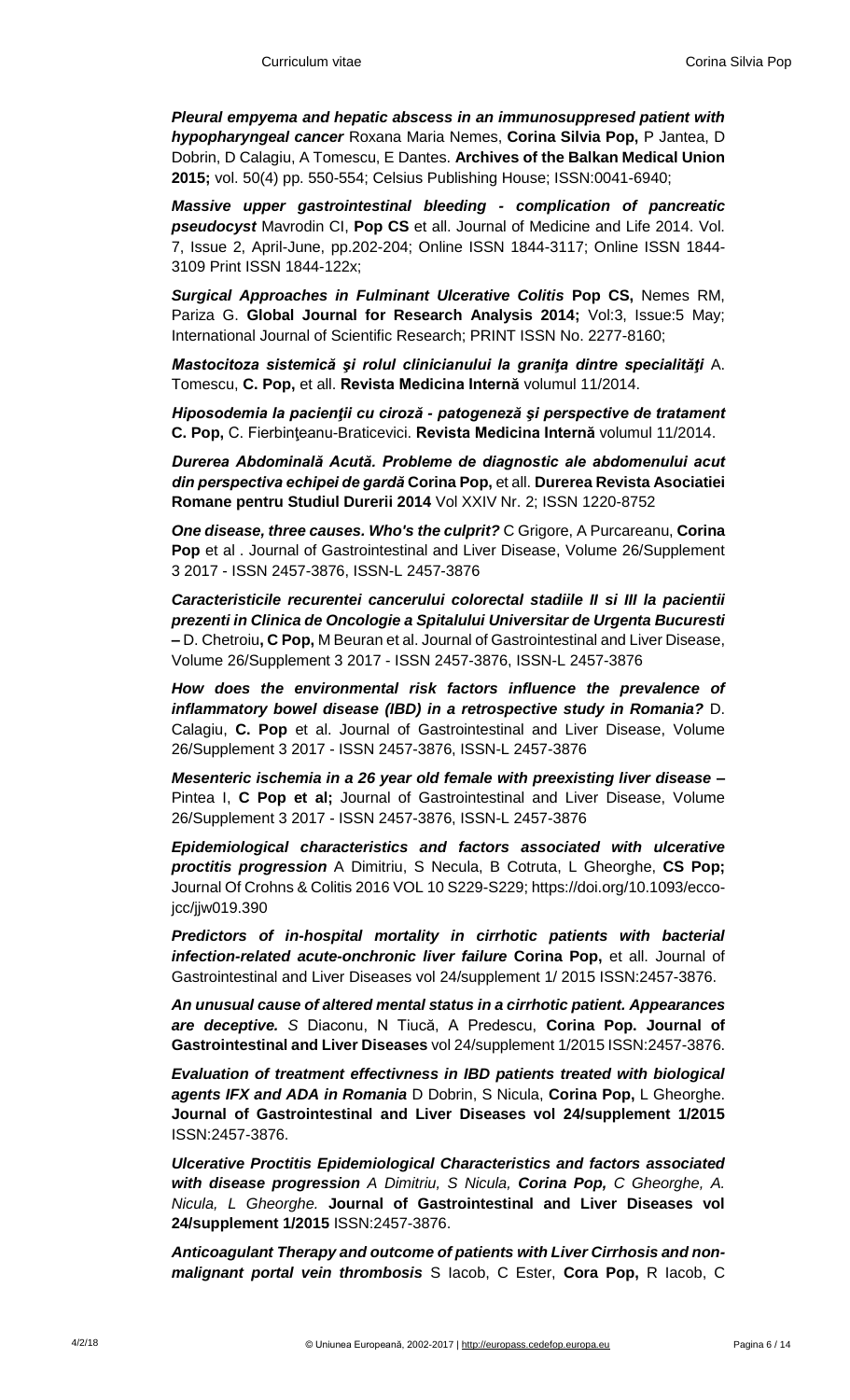*Pleural empyema and hepatic abscess in an immunosuppresed patient with hypopharyngeal cancer* Roxana Maria Nemes, **Corina Silvia Pop,** P Jantea, D Dobrin, D Calagiu, A Tomescu, E Dantes. **Archives of the Balkan Medical Union 2015;** vol. 50(4) pp. 550-554; Celsius Publishing House; ISSN:0041-6940;

*Massive upper gastrointestinal bleeding - complication of pancreatic pseudocyst* Mavrodin CI, **Pop CS** et all. Journal of Medicine and Life 2014. Vol. 7, Issue 2, April-June, pp.202-204; Online ISSN 1844-3117; Online ISSN 1844- 3109 Print ISSN 1844-122x;

*Surgical Approaches in Fulminant Ulcerative Colitis* **Pop CS,** Nemes RM, Pariza G. **Global Journal for Research Analysis 2014;** Vol:3, Issue:5 May; International Journal of Scientific Research; PRINT ISSN No. 2277-8160;

*Mastocitoza sistemică şi rolul clinicianului la graniţa dintre specialităţi* A. Tomescu, **C. Pop,** et all. **Revista Medicina Internă** volumul 11/2014.

*Hiposodemia la pacienţii cu ciroză - patogeneză şi perspective de tratament*  **C. Pop,** C. Fierbinţeanu-Braticevici. **Revista Medicina Internă** volumul 11/2014.

*Durerea Abdominală Acută. Probleme de diagnostic ale abdomenului acut din perspectiva echipei de gardă* **Corina Pop,** et all. **Durerea Revista Asociatiei Romane pentru Studiul Durerii 2014** Vol XXIV Nr. 2; ISSN 1220-8752

*One disease, three causes. Who's the culprit?* C Grigore, A Purcareanu, **Corina Pop** et al . Journal of Gastrointestinal and Liver Disease, Volume 26/Supplement 3 2017 - ISSN 2457-3876, ISSN-L 2457-3876

*Caracteristicile recurentei cancerului colorectal stadiile II si III la pacientii prezenti in Clinica de Oncologie a Spitalului Universitar de Urgenta Bucuresti*  **–** D. Chetroiu**, C Pop,** M Beuran et al. Journal of Gastrointestinal and Liver Disease, Volume 26/Supplement 3 2017 - ISSN 2457-3876, ISSN-L 2457-3876

*How does the environmental risk factors influence the prevalence of inflammatory bowel disease (IBD) in a retrospective study in Romania?* D. Calagiu, **C. Pop** et al. Journal of Gastrointestinal and Liver Disease, Volume 26/Supplement 3 2017 - ISSN 2457-3876, ISSN-L 2457-3876

*Mesenteric ischemia in a 26 year old female with preexisting liver disease* **–** Pintea I, **C Pop et al;** Journal of Gastrointestinal and Liver Disease, Volume 26/Supplement 3 2017 - ISSN 2457-3876, ISSN-L 2457-3876

*Epidemiological characteristics and factors associated with ulcerative proctitis progression* A Dimitriu, S Necula, B Cotruta, L Gheorghe, **CS Pop;**  Journal Of Crohns & Colitis 2016 VOL 10 S229-S229; https://doi.org/10.1093/eccojcc/jjw019.390

*Predictors of in-hospital mortality in cirrhotic patients with bacterial infection-related acute-onchronic liver failure* **Corina Pop,** et all. Journal of Gastrointestinal and Liver Diseases vol 24/supplement 1/ 2015 ISSN:2457-3876.

*An unusual cause of altered mental status in a cirrhotic patient. Appearances are deceptive. S* Diaconu, N Tiucă, A Predescu, **Corina Pop. Journal of Gastrointestinal and Liver Diseases** vol 24/supplement 1/2015 ISSN:2457-3876.

*Evaluation of treatment effectivness in IBD patients treated with biological agents IFX and ADA in Romania* D Dobrin, S Nicula, **Corina Pop,** L Gheorghe. **Journal of Gastrointestinal and Liver Diseases vol 24/supplement 1/2015**  ISSN:2457-3876.

*Ulcerative Proctitis Epidemiological Characteristics and factors associated with disease progression A Dimitriu, S Nicula, Corina Pop, C Gheorghe, A. Nicula, L Gheorghe.* **Journal of Gastrointestinal and Liver Diseases vol 24/supplement 1/2015** ISSN:2457-3876.

*Anticoagulant Therapy and outcome of patients with Liver Cirrhosis and nonmalignant portal vein thrombosis* S Iacob, C Ester, **Cora Pop,** R Iacob, C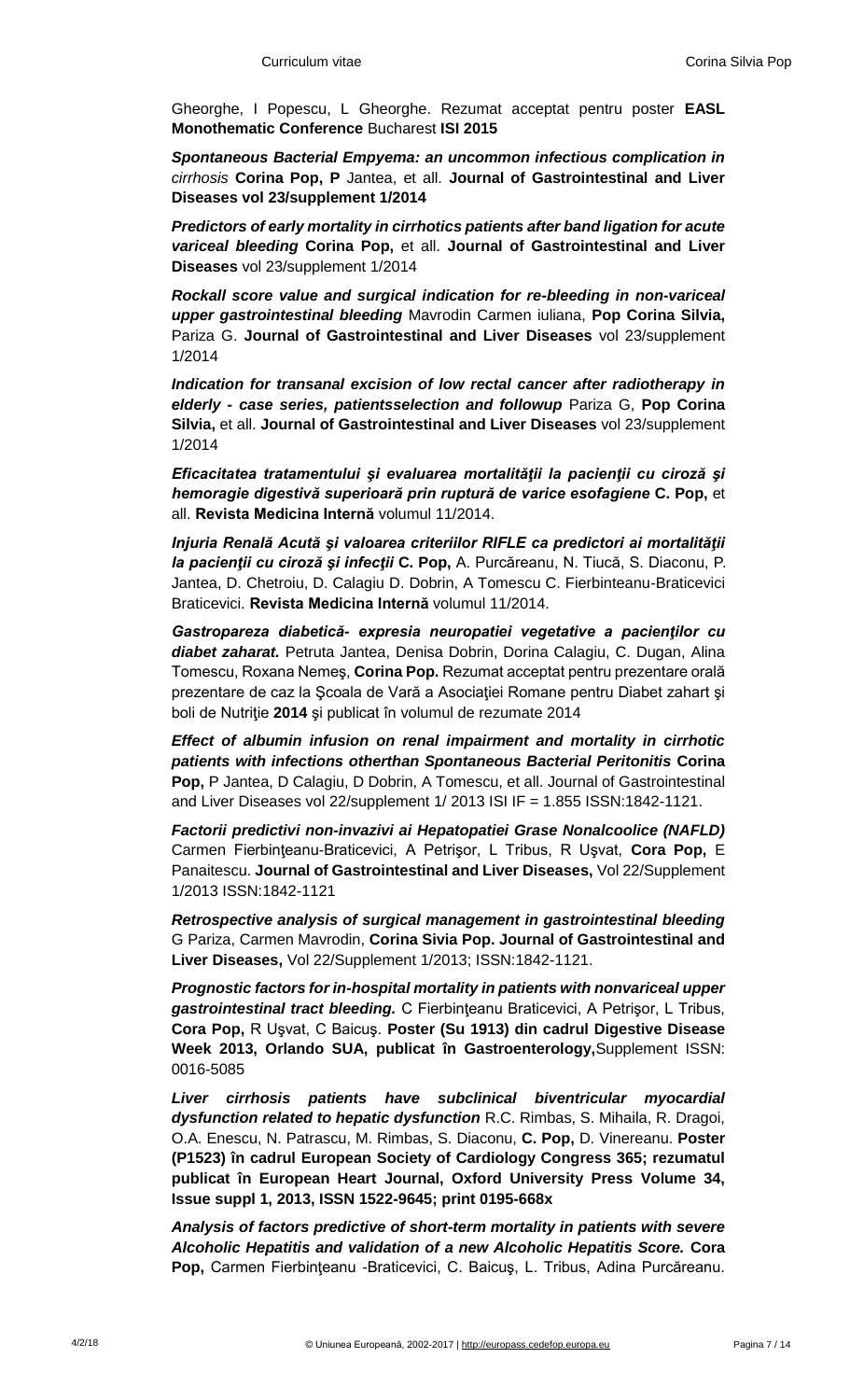Gheorghe, I Popescu, L Gheorghe. Rezumat acceptat pentru poster **EASL Monothematic Conference** Bucharest **ISI 2015**

*Spontaneous Bacterial Empyema: an uncommon infectious complication in cirrhosis* **Corina Pop, P** Jantea, et all. **Journal of Gastrointestinal and Liver Diseases vol 23/supplement 1/2014**

*Predictors of early mortality in cirrhotics patients after band ligation for acute variceal bleeding* **Corina Pop,** et all. **Journal of Gastrointestinal and Liver Diseases** vol 23/supplement 1/2014

*Rockall score value and surgical indication for re-bleeding in non-variceal upper gastrointestinal bleeding* Mavrodin Carmen iuliana, **Pop Corina Silvia,**  Pariza G. **Journal of Gastrointestinal and Liver Diseases** vol 23/supplement 1/2014

*Indication for transanal excision of low rectal cancer after radiotherapy in elderly - case series, patientsselection and followup* Pariza G, **Pop Corina Silvia,** et all. **Journal of Gastrointestinal and Liver Diseases** vol 23/supplement 1/2014

*Eficacitatea tratamentului şi evaluarea mortalităţii la pacienţii cu ciroză şi hemoragie digestivă superioară prin ruptură de varice esofagiene* **C. Pop,** et all. **Revista Medicina Internă** volumul 11/2014.

*Injuria Renală Acută şi valoarea criteriilor RIFLE ca predictori ai mortalităţii la pacienţii cu ciroză şi infecţii* **C. Pop,** A. Purcăreanu, N. Tiucă, S. Diaconu, P. Jantea, D. Chetroiu, D. Calagiu D. Dobrin, A Tomescu C. Fierbinteanu-Braticevici Braticevici. **Revista Medicina Internă** volumul 11/2014.

*Gastropareza diabetică- expresia neuropatiei vegetative a pacienţilor cu diabet zaharat.* Petruta Jantea, Denisa Dobrin, Dorina Calagiu, C. Dugan, Alina Tomescu, Roxana Nemeş, **Corina Pop.** Rezumat acceptat pentru prezentare orală prezentare de caz la Şcoala de Vară a Asociaţiei Romane pentru Diabet zahart şi boli de Nutriţie **2014** şi publicat în volumul de rezumate 2014

*Effect of albumin infusion on renal impairment and mortality in cirrhotic patients with infections otherthan Spontaneous Bacterial Peritonitis* **Corina Pop,** P Jantea, D Calagiu, D Dobrin, A Tomescu, et all. Journal of Gastrointestinal and Liver Diseases vol 22/supplement 1/ 2013 ISI IF = 1.855 ISSN:1842-1121.

*Factorii predictivi non-invazivi ai Hepatopatiei Grase Nonalcoolice (NAFLD)*  Carmen Fierbinţeanu-Braticevici, A Petrişor, L Tribus, R Uşvat, **Cora Pop,** E Panaitescu. **Journal of Gastrointestinal and Liver Diseases,** Vol 22/Supplement 1/2013 ISSN:1842-1121

*Retrospective analysis of surgical management in gastrointestinal bleeding*  G Pariza, Carmen Mavrodin, **Corina Sivia Pop. Journal of Gastrointestinal and Liver Diseases,** Vol 22/Supplement 1/2013; ISSN:1842-1121.

*Prognostic factors for in-hospital mortality in patients with nonvariceal upper gastrointestinal tract bleeding.* C Fierbinţeanu Braticevici, A Petrişor, L Tribus, **Cora Pop,** R Uşvat, C Baicuş. **Poster (Su 1913) din cadrul Digestive Disease Week 2013, Orlando SUA, publicat în Gastroenterology,**Supplement ISSN: 0016-5085

*Liver cirrhosis patients have subclinical biventricular myocardial dysfunction related to hepatic dysfunction* R.C. Rimbas, S. Mihaila, R. Dragoi, O.A. Enescu, N. Patrascu, M. Rimbas, S. Diaconu, **C. Pop,** D. Vinereanu. **Poster (P1523) în cadrul European Society of Cardiology Congress 365; rezumatul publicat în European Heart Journal, Oxford University Press Volume 34, Issue suppl 1, 2013, ISSN 1522-9645; print 0195-668x**

*Analysis of factors predictive of short-term mortality in patients with severe Alcoholic Hepatitis and validation of a new Alcoholic Hepatitis Score.* **Cora Pop,** Carmen Fierbinţeanu -Braticevici, C. Baicuş, L. Tribus, Adina Purcăreanu.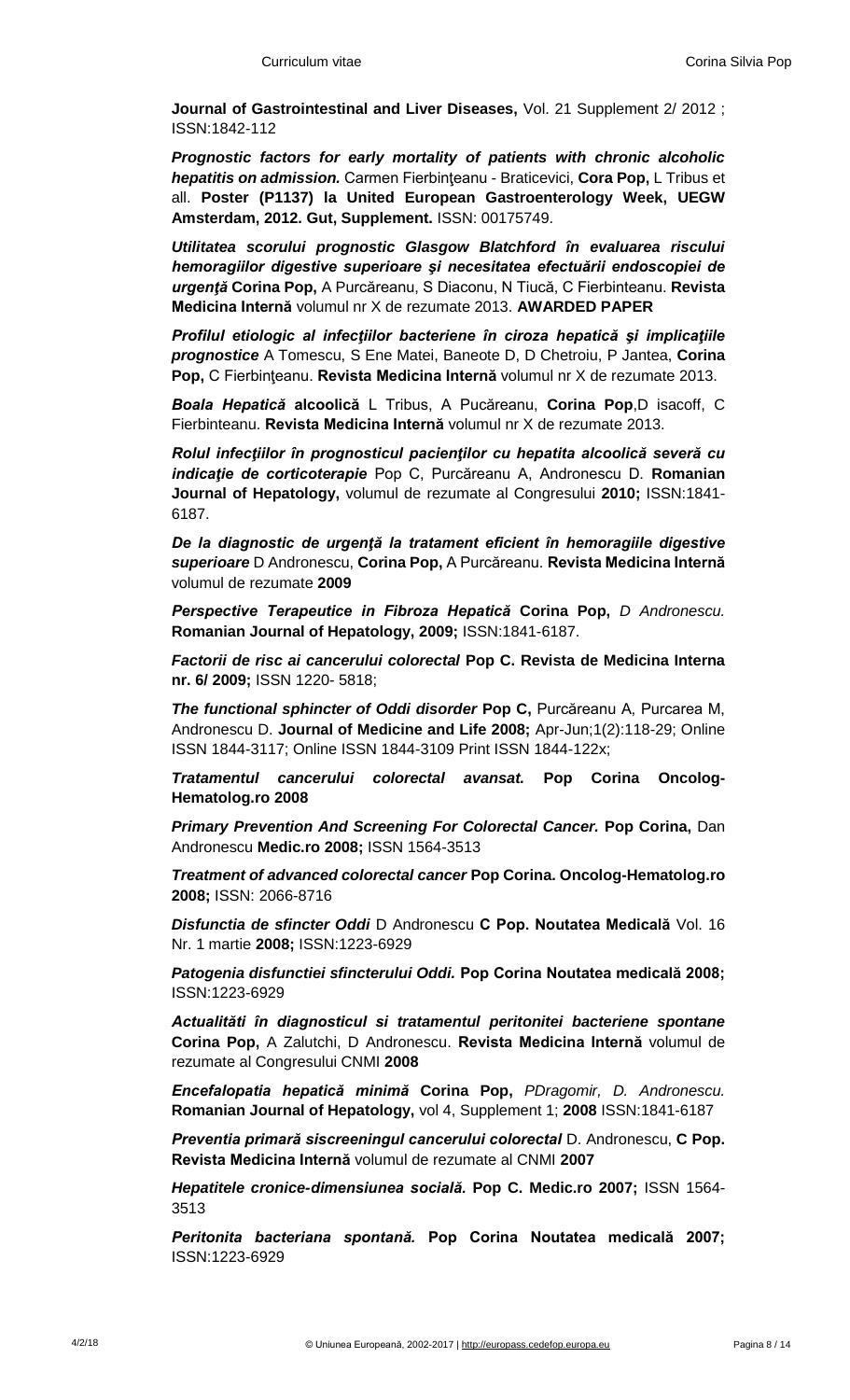**Journal of Gastrointestinal and Liver Diseases,** Vol. 21 Supplement 2/ 2012 ; ISSN:1842-112

*Prognostic factors for early mortality of patients with chronic alcoholic hepatitis on admission.* Carmen Fierbinţeanu - Braticevici, **Cora Pop,** L Tribus et all. **Poster (P1137) la United European Gastroenterology Week, UEGW Amsterdam, 2012. Gut, Supplement.** ISSN: 00175749.

*Utilitatea scorului prognostic Glasgow Blatchford în evaluarea riscului hemoragiilor digestive superioare şi necesitatea efectuării endoscopiei de urgenţă* **Corina Pop,** A Purcăreanu, S Diaconu, N Tiucă, C Fierbinteanu. **Revista Medicina Internă** volumul nr X de rezumate 2013. **AWARDED PAPER**

*Profilul etiologic al infecţiilor bacteriene în ciroza hepatică şi implicaţiile prognostice* A Tomescu, S Ene Matei, Baneote D, D Chetroiu, P Jantea, **Corina Pop,** C Fierbinţeanu. **Revista Medicina Internă** volumul nr X de rezumate 2013.

*Boala Hepatică* **alcoolică** L Tribus, A Pucăreanu, **Corina Pop**,D isacoff, C Fierbinteanu. **Revista Medicina Internă** volumul nr X de rezumate 2013.

*Rolul infecţiilor în prognosticul pacienţilor cu hepatita alcoolică severă cu indicaţie de corticoterapie* Pop C, Purcăreanu A, Andronescu D. **Romanian Journal of Hepatology,** volumul de rezumate al Congresului **2010;** ISSN:1841- 6187.

*De la diagnostic de urgenţă la tratament eficient în hemoragiile digestive superioare* D Andronescu, **Corina Pop,** A Purcăreanu. **Revista Medicina Internă**  volumul de rezumate **2009**

*Perspective Terapeutice in Fibroza Hepatică* **Corina Pop,** *D Andronescu.*  **Romanian Journal of Hepatology, 2009;** ISSN:1841-6187.

*Factorii de risc ai cancerului colorectal* **Pop C. Revista de Medicina Interna nr. 6/ 2009;** ISSN 1220- 5818;

*The functional sphincter of Oddi disorder* **Pop C,** Purcăreanu A, Purcarea M, Andronescu D. **Journal of Medicine and Life 2008;** Apr-Jun;1(2):118-29; Online ISSN 1844-3117; Online ISSN 1844-3109 Print ISSN 1844-122x;

*Tratamentul cancerului colorectal avansat.* **Pop Corina [Oncolog-](http://oncolog-hematolog.ro/)[Hematolog.ro](http://oncolog-hematolog.ro/) 2008**

*Primary Prevention And Screening For Colorectal Cancer. Pop Corina, Dan* Andronescu **[Medic.ro](http://medic.ro/) 2008;** ISSN 1564-3513

*Treatment of advanced colorectal cancer* **Pop Corina. [Oncolog-Hematolog.ro](http://oncolog-hematolog.ro/) 2008;** ISSN: 2066-8716

*Disfunctia de sfincter Oddi* D Andronescu **C Pop. Noutatea Medicală** Vol. 16 Nr. 1 martie **2008;** ISSN:1223-6929

*Patogenia disfunctiei sfincterului Oddi.* **Pop Corina Noutatea medicală 2008;**  ISSN:1223-6929

*Actualităti în diagnosticul si tratamentul peritonitei bacteriene spontane*  **Corina Pop,** A Zalutchi, D Andronescu. **Revista Medicina Internă** volumul de rezumate al Congresului CNMI **2008**

*Encefalopatia hepatică minimă* **Corina Pop,** *PDragomir, D. Andronescu.*  **Romanian Journal of Hepatology,** vol 4, Supplement 1; **2008** ISSN:1841-6187

*Preventia primară siscreeningul cancerului colorectal* D. Andronescu, **C Pop. Revista Medicina Internă** volumul de rezumate al CNMI **2007**

*Hepatitele cronice-dimensiunea socială.* **Pop C. [Medic.ro](http://medic.ro/) 2007;** ISSN 1564- 3513

*Peritonita bacteriana spontană.* **Pop Corina Noutatea medicală 2007;**  ISSN:1223-6929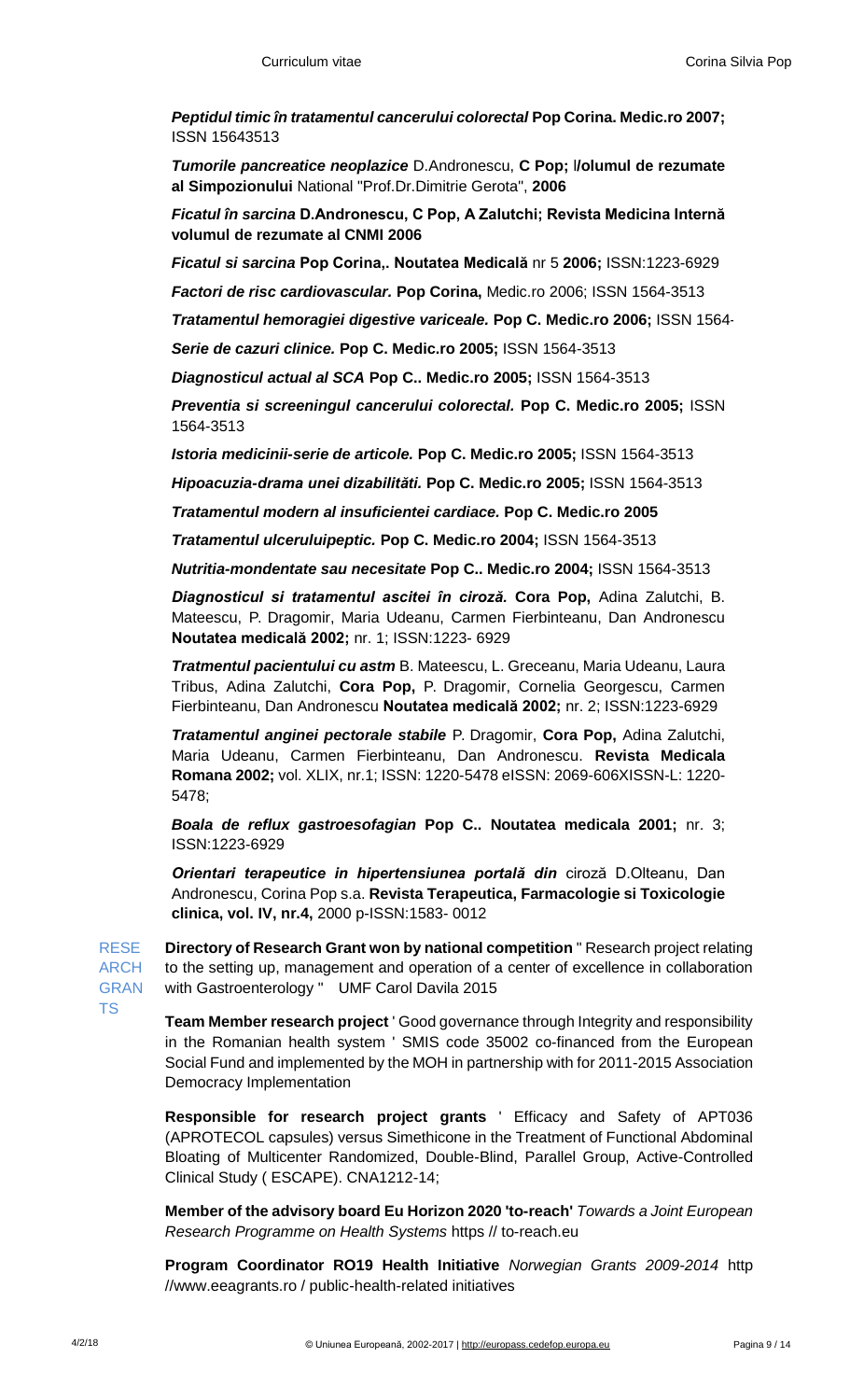*Peptidul timic în tratamentul cancerului colorectal* **Pop Corina[. Medic.ro](http://medic.ro/) 2007;**  ISSN 15643513

*Tumorile pancreatice neoplazice* D.Andronescu, **C Pop;** l**/olumul de rezumate al Simpozionului** National "Prof.Dr.Dimitrie Gerota", **2006**

*Ficatul în sarcina* **D.Andronescu, C Pop, A Zalutchi; Revista Medicina Internă volumul de rezumate al CNMI 2006**

*Ficatul si sarcina* **Pop Corina,. Noutatea Medicală** nr 5 **2006;** ISSN:1223-6929

*Factori de risc cardiovascular.* **Pop Corina,** [Medic.ro](http://medic.ro/) 2006; ISSN 1564-3513

**Tratamentul hemoragiei digestive variceale. Pop C. [Medic.ro](http://medic.ro/) 2006; ISSN 1564-313333** 

*Serie de cazuri clinice.* **Pop C. [Medic.ro](http://medic.ro/) 2005;** ISSN 1564-3513

*Diagnosticul actual al SCA* **Pop C.. [Medic.ro](http://medic.ro/) 2005;** ISSN 1564-3513

*Preventia si screeningul cancerului colorectal.* **Pop C. [Medic.ro](http://medic.ro/) 2005;** ISSN 1564-3513

*Istoria medicinii-serie de articole.* **Pop C. [Medic.ro](http://medic.ro/) 2005;** ISSN 1564-3513

*Hipoacuzia-drama unei dizabilităti.* **Pop C. [Medic.ro](http://medic.ro/) 2005;** ISSN 1564-3513

*Tratamentul modern al insuficientei cardiace.* **Pop C. [Medic.ro](http://medic.ro/) 2005**

*Tratamentul ulceruluipeptic.* **Pop C. [Medic.ro](http://medic.ro/) 2004;** ISSN 1564-3513

*Nutritia-mondentate sau necesitate* **Pop C.. [Medic.ro](http://medic.ro/) 2004;** ISSN 1564-3513

*Diagnosticul si tratamentul ascitei în ciroză.* **Cora Pop,** Adina Zalutchi, B. Mateescu, P. Dragomir, Maria Udeanu, Carmen Fierbinteanu, Dan Andronescu **Noutatea medicală 2002;** nr. 1; ISSN:1223- 6929

*Tratmentul pacientului cu astm* B. Mateescu, L. Greceanu, Maria Udeanu, Laura Tribus, Adina Zalutchi, **Cora Pop,** P. Dragomir, Cornelia Georgescu, Carmen Fierbinteanu, Dan Andronescu **Noutatea medicală 2002;** nr. 2; ISSN:1223-6929

*Tratamentul anginei pectorale stabile* P. Dragomir, **Cora Pop,** Adina Zalutchi, Maria Udeanu, Carmen Fierbinteanu, Dan Andronescu. **Revista Medicala Romana 2002;** vol. XLIX, nr.1; ISSN: 1220-5478 eISSN: 2069-606XISSN-L: 1220- 5478;

*Boala de reflux gastroesofagian* **Pop C.. Noutatea medicala 2001;** nr. 3; ISSN:1223-6929

*Orientari terapeutice in hipertensiunea portală din* ciroză D.Olteanu, Dan Andronescu, Corina Pop s.a. **Revista Terapeutica, Farmacologie si Toxicologie clinica, vol. IV, nr.4,** 2000 p-ISSN:1583- 0012

RESE ARCH GRAN **Directory of Research Grant won by national competition** " Research project relating to the setting up, management and operation of a center of excellence in collaboration with Gastroenterology " UMF Carol Davila 2015

TS

**Team Member research project** ' Good governance through Integrity and responsibility in the Romanian health system ' SMIS code 35002 co-financed from the European Social Fund and implemented by the MOH in partnership with for 2011-2015 Association Democracy Implementation

**Responsible for research project grants** ' Efficacy and Safety of APT036 (APROTECOL capsules) versus Simethicone in the Treatment of Functional Abdominal Bloating of Multicenter Randomized, Double-Blind, Parallel Group, Active-Controlled Clinical Study ( ESCAPE). CNA1212-14;

**Member of the advisory board Eu Horizon 2020 'to-reach'** *Towards a Joint European Research Programme on Health Systems* https // to-reach.eu

**Program Coordinator RO19 Health Initiative** *Norwegian Grants 2009-2014* http //www.eeagrants.ro / public-health-related initiatives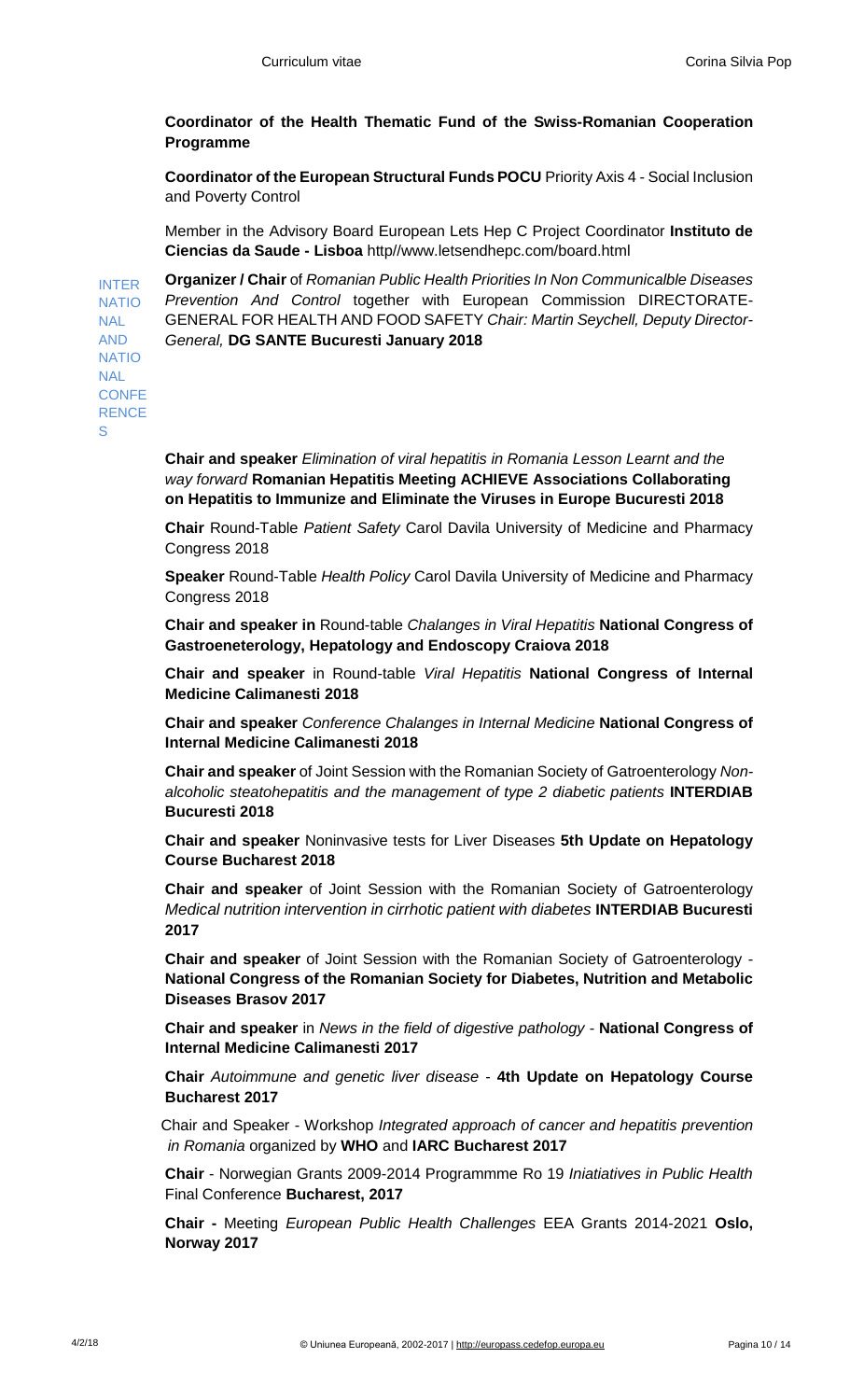## **Coordinator of the Health Thematic Fund of the Swiss-Romanian Cooperation Programme**

**Coordinator of the European Structural Funds POCU** Priority Axis 4 - Social Inclusion and Poverty Control

Member in the Advisory Board European Lets Hep C Project Coordinator **Instituto de Ciencias da Saude - Lisboa** http//www.letsendhepc.com/board.html

INTER NATIO **Organizer / Chair** of *Romanian Public Health Priorities In Non Communicalble Diseases Prevention And Control* together with European Commission DIRECTORATE-GENERAL FOR HEALTH AND FOOD SAFETY *Chair: Martin Seychell, Deputy Director-General,* **DG SANTE Bucuresti January 2018**

NAL AND NATIO **NAL** CONFE **RENCE** S

> **Chair and speaker** *Elimination of viral hepatitis in Romania Lesson Learnt and the way forward* **Romanian Hepatitis Meeting ACHIEVE Associations Collaborating on Hepatitis to Immunize and Eliminate the Viruses in Europe Bucuresti 2018**

**Chair** Round-Table *Patient Safety* Carol Davila University of Medicine and Pharmacy Congress 2018

**Speaker** Round-Table *Health Policy* Carol Davila University of Medicine and Pharmacy Congress 2018

**Chair and speaker in** Round-table *Chalanges in Viral Hepatitis* **National Congress of Gastroeneterology, Hepatology and Endoscopy Craiova 2018**

**Chair and speaker** in Round-table *Viral Hepatitis* **National Congress of Internal Medicine Calimanesti 2018**

**Chair and speaker** *Conference Chalanges in Internal Medicine* **National Congress of Internal Medicine Calimanesti 2018**

**Chair and speaker** of Joint Session with the Romanian Society of Gatroenterology *Nonalcoholic steatohepatitis and the management of type 2 diabetic patients* **INTERDIAB Bucuresti 2018**

**Chair and speaker** Noninvasive tests for Liver Diseases **5th Update on Hepatology Course Bucharest 2018**

**Chair and speaker** of Joint Session with the Romanian Society of Gatroenterology *Medical nutrition intervention in cirrhotic patient with diabetes* **INTERDIAB Bucuresti 2017**

**Chair and speaker** of Joint Session with the Romanian Society of Gatroenterology - **National Congress of the Romanian Society for Diabetes, Nutrition and Metabolic Diseases Brasov 2017**

**Chair and speaker** in *News in the field of digestive pathology* - **National Congress of Internal Medicine Calimanesti 2017**

**Chair** *Autoimmune and genetic liver disease* - **4th Update on Hepatology Course Bucharest 2017**

**Chair** Chair and Speaker - Workshop *Integrated approach of cancer and hepatitis prevention in Romania* organized by WHO and IARC Bucharest 2017

**Chair** - Norwegian Grants 2009-2014 Programmme Ro 19 *Iniatiatives in Public Health* Final Conference **Bucharest, 2017**

**Chair -** Meeting *European Public Health Challenges* EEA Grants 2014-2021 **Oslo, Norway 2017**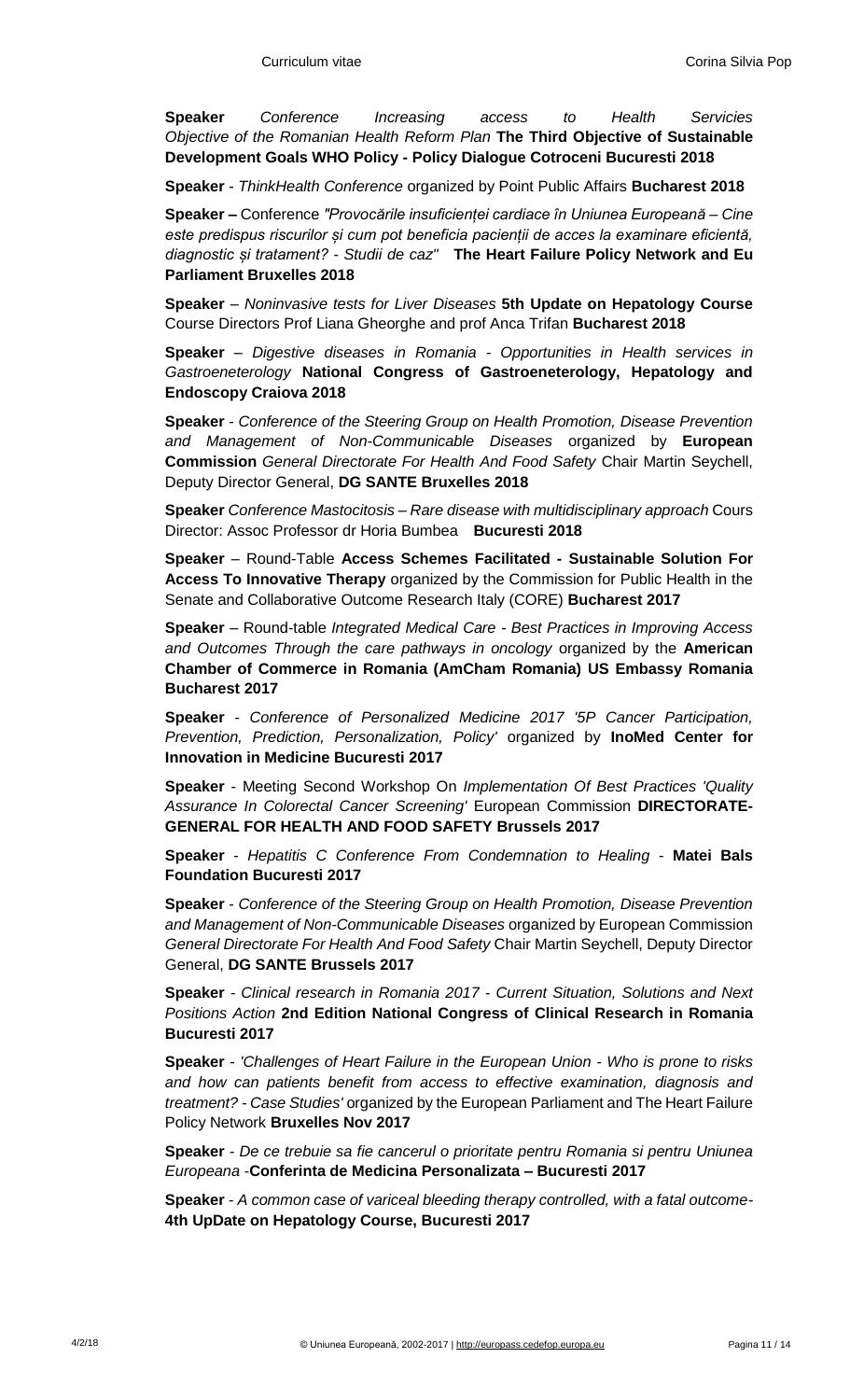**Speaker** *Conference Increasing access to Health Servicies Objective of the Romanian Health Reform Plan* **The Third Objective of Sustainable Development Goals WHO Policy - Policy Dialogue Cotroceni Bucuresti 2018**

**Speaker** - *ThinkHealth Conference* organized by Point Public Affairs **Bucharest 2018**

**Speaker –** Conference *"Provocările insuficienței cardiace în Uniunea Europeană – Cine este predispus riscurilor și cum pot beneficia pacienții de acces la examinare eficientă, diagnostic și tratament? - Studii de caz"* **The Heart Failure Policy Network and Eu Parliament Bruxelles 2018**

**Speaker** – *Noninvasive tests for Liver Diseases* **5th Update on Hepatology Course**  Course Directors Prof Liana Gheorghe and prof Anca Trifan **Bucharest 2018** 

**Speaker** – *Digestive diseases in Romania - Opportunities in Health services in Gastroeneterology* **National Congress of Gastroeneterology, Hepatology and Endoscopy Craiova 2018**

**Speaker** - *Conference of the Steering Group on Health Promotion, Disease Prevention and Management of Non-Communicable Diseases* organized by **European Commission** *General Directorate For Health And Food Safety* Chair Martin Seychell, Deputy Director General, **DG SANTE Bruxelles 2018**

**Speaker** *Conference Mastocitosis – Rare disease with multidisciplinary approach* Cours Director: Assoc Professor dr Horia Bumbea **Bucuresti 2018**

**Speaker** – Round-Table **Access Schemes Facilitated - Sustainable Solution For Access To Innovative Therapy** organized by the Commission for Public Health in the Senate and Collaborative Outcome Research Italy (CORE) **Bucharest 2017**

**Speaker** – Round-table *Integrated Medical Care - Best Practices in Improving Access and Outcomes Through the care pathways in oncology* organized by the **American Chamber of Commerce in Romania (AmCham Romania) US Embassy Romania Bucharest 2017**

**Speaker** - *Conference of Personalized Medicine 2017 '5P Cancer Participation, Prevention, Prediction, Personalization, Policy'* organized by **InoMed Center for Innovation in Medicine Bucuresti 2017**

**Speaker** - Meeting Second Workshop On *Implementation Of Best Practices 'Quality Assurance In Colorectal Cancer Screening'* European Commission **DIRECTORATE-GENERAL FOR HEALTH AND FOOD SAFETY Brussels 2017**

**Speaker** - *Hepatitis C Conference From Condemnation to Healing* - **Matei Bals Foundation Bucuresti 2017** 

**Speaker** - *Conference of the Steering Group on Health Promotion, Disease Prevention and Management of Non-Communicable Diseases* organized by European Commission *General Directorate For Health And Food Safety* Chair Martin Seychell, Deputy Director General, **DG SANTE Brussels 2017**

**Speaker** *- Clinical research in Romania 2017 - Current Situation, Solutions and Next Positions Action* **2nd Edition National Congress of Clinical Research in Romania Bucuresti 2017**

**Speaker** - *'Challenges of Heart Failure in the European Union - Who is prone to risks and how can patients benefit from access to effective examination, diagnosis and treatment? - Case Studies'* organized by the European Parliament and The Heart Failure Policy Network **Bruxelles Nov 2017**

**Speaker** *- De ce trebuie sa fie cancerul o prioritate pentru Romania si pentru Uniunea Europeana* -**Conferinta de Medicina Personalizata – Bucuresti 2017**

**Speaker** *- A common case of variceal bleeding therapy controlled, with a fatal outcome-***4th UpDate on Hepatology Course, Bucuresti 2017**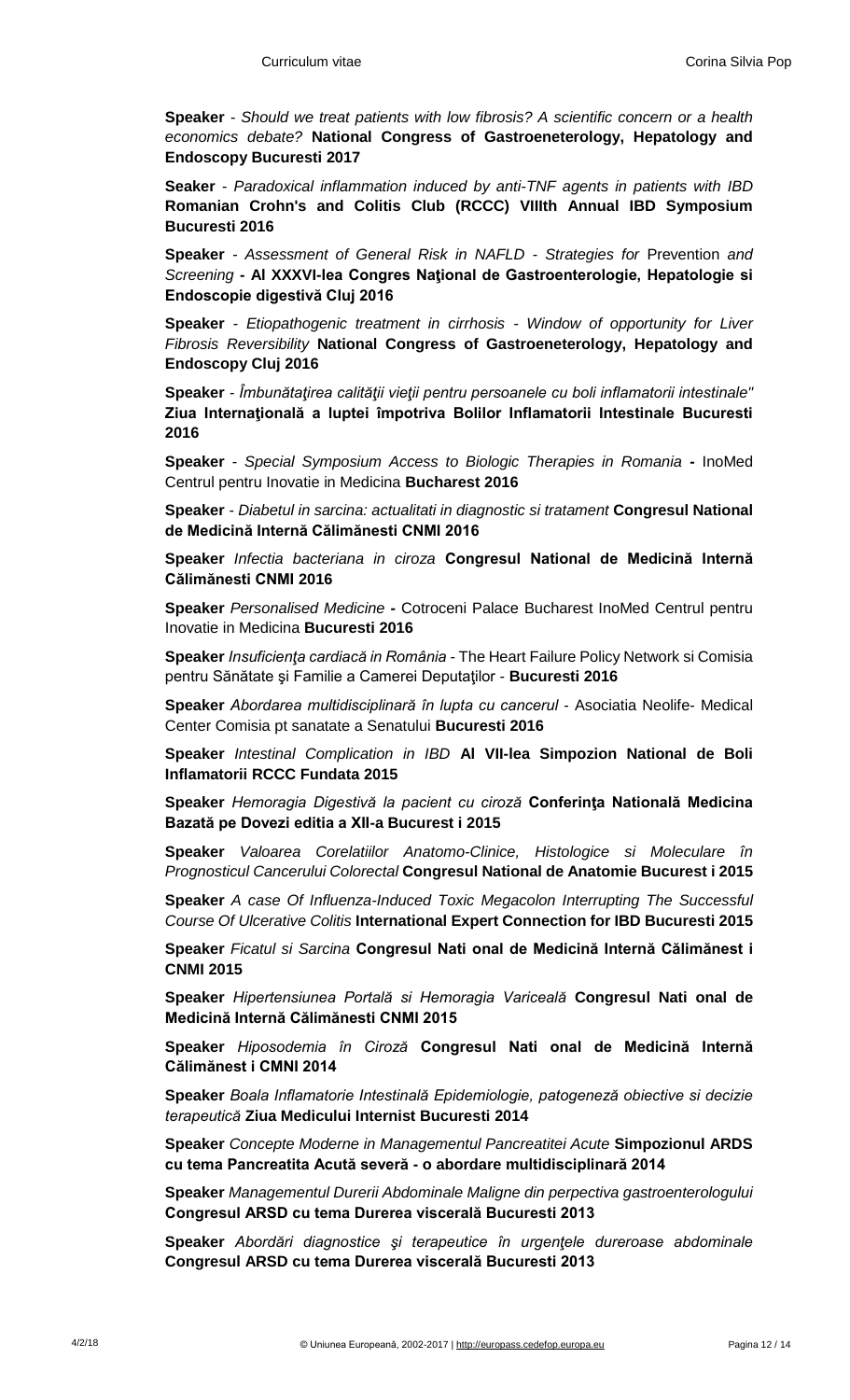**Speaker** *- Should we treat patients with low fibrosis? A scientific concern or a health economics debate?* **National Congress of Gastroeneterology, Hepatology and Endoscopy Bucuresti 2017**

**Seaker** *- Paradoxical inflammation induced by anti-TNF agents in patients with IBD*  **Romanian Crohn's and Colitis Club (RCCC) VIIIth Annual IBD Symposium Bucuresti 2016**

**Speaker** *- Assessment of General Risk in NAFLD - Strategies for* Prevention *and Screening* **- Al XXXVI-lea Congres Naţional de Gastroenterologie, Hepatologie si Endoscopie digestivă Cluj 2016**

**Speaker** *- Etiopathogenic treatment in cirrhosis - Window of opportunity for Liver Fibrosis Reversibility* **National Congress of Gastroeneterology, Hepatology and Endoscopy Cluj 2016**

**Speaker** *- Îmbunătaţirea calităţii vieţii pentru persoanele cu boli inflamatorii intestinale"*  **Ziua Internaţională a luptei împotriva Bolilor Inflamatorii Intestinale Bucuresti 2016**

**Speaker** *- Special Symposium Access to Biologic Therapies in Romania* **-** InoMed Centrul pentru Inovatie in Medicina **Bucharest 2016**

**Speaker** *- Diabetul in sarcina: actualitati in diagnostic si tratament* **Congresul National de Medicină Internă Călimănesti CNMI 2016**

**Speaker** *Infectia bacteriana in ciroza* **Congresul National de Medicină Internă Călimănesti CNMI 2016**

**Speaker** *Personalised Medicine* **-** Cotroceni Palace Bucharest InoMed Centrul pentru Inovatie in Medicina **Bucuresti 2016**

**Speaker** *Insuficienţa cardiacă in România -* The Heart Failure Policy Network si Comisia pentru Sănătate şi Familie a Camerei Deputaţilor - **Bucuresti 2016**

**Speaker** *Abordarea multidisciplinară în lupta cu cancerul* - Asociatia Neolife- Medical Center Comisia pt sanatate a Senatului **Bucuresti 2016**

**Speaker** *Intestinal Complication in IBD* **Al VII-lea Simpozion National de Boli Inflamatorii RCCC Fundata 2015**

**Speaker** *Hemoragia Digestivă la pacient cu ciroză* **Conferinţa Natională Medicina Bazată pe Dovezi editia a XII-a Bucurest i 2015**

**Speaker** *Valoarea Corelatiilor Anatomo-Clinice, Histologice si Moleculare în Prognosticul Cancerului Colorectal* **Congresul National de Anatomie Bucurest i 2015**

**Speaker** *A case Of Influenza-Induced Toxic Megacolon Interrupting The Successful Course Of Ulcerative Colitis* **International Expert Connection for IBD Bucuresti 2015**

**Speaker** *Ficatul si Sarcina* **Congresul Nati onal de Medicină Internă Călimănest i CNMI 2015**

**Speaker** *Hipertensiunea Portală si Hemoragia Variceală* **Congresul Nati onal de Medicină Internă Călimănesti CNMI 2015**

**Speaker** *Hiposodemia în Ciroză* **Congresul Nati onal de Medicină Internă Călimănest i CMNI 2014**

**Speaker** *Boala Inflamatorie Intestinală Epidemiologie, patogeneză obiective si decizie terapeutică* **Ziua Medicului Internist Bucuresti 2014**

**Speaker** *Concepte Moderne in Managementul Pancreatitei Acute* **Simpozionul ARDS cu tema Pancreatita Acută severă - o abordare multidisciplinară 2014**

**Speaker** *Managementul Durerii Abdominale Maligne din perpectiva gastroenterologului*  **Congresul ARSD cu tema Durerea viscerală Bucuresti 2013**

**Speaker** *Abordări diagnostice şi terapeutice în urgenţele dureroase abdominale*  **Congresul ARSD cu tema Durerea viscerală Bucuresti 2013**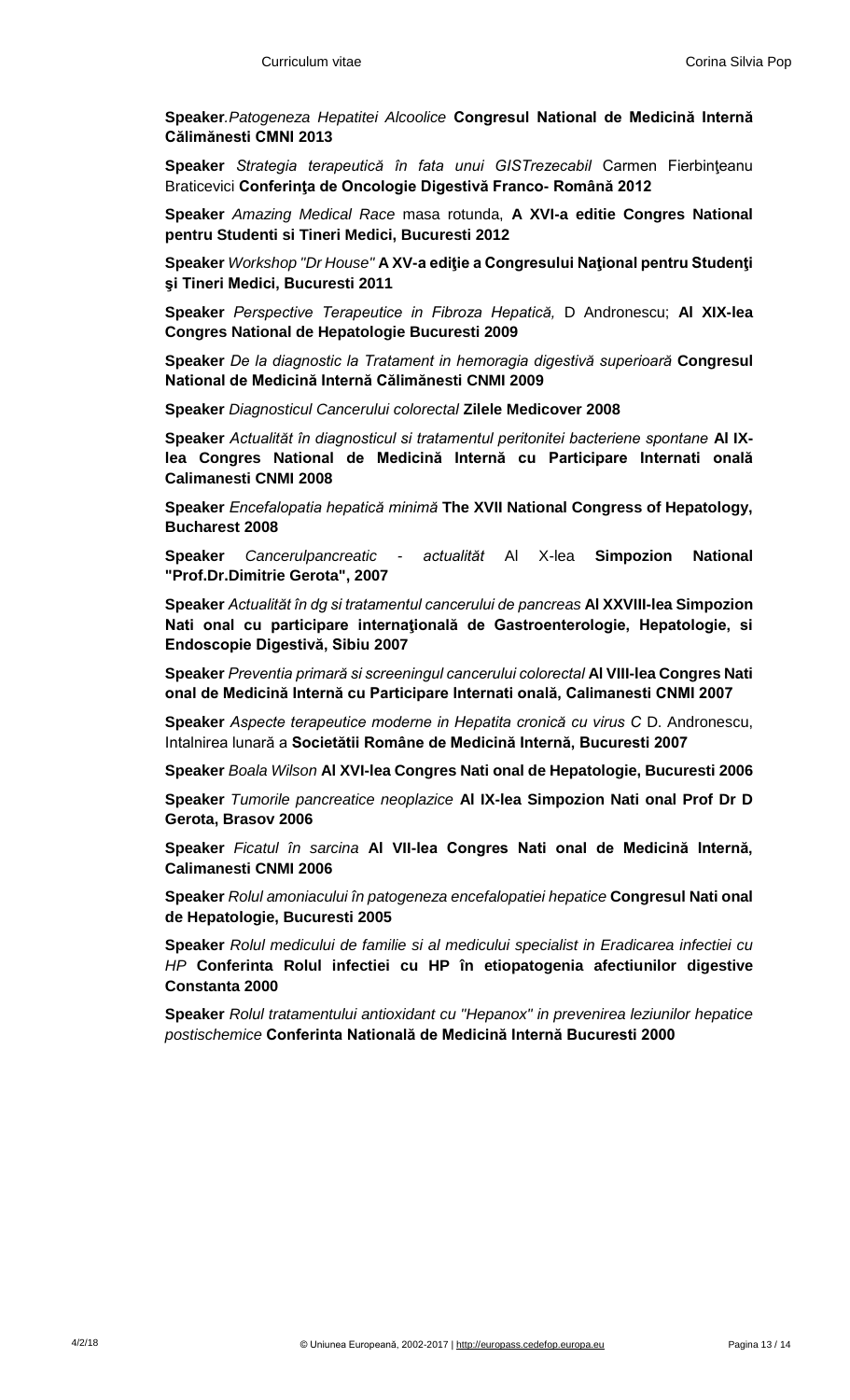**Speaker***.Patogeneza Hepatitei Alcoolice* **Congresul National de Medicină Internă Călimănesti CMNI 2013**

**Speaker** *Strategia terapeutică în fata unui GISTrezecabil* Carmen Fierbinţeanu Braticevici **Conferinţa de Oncologie Digestivă Franco- Română 2012**

**Speaker** *Amazing Medical Race* masa rotunda, **A XVI-a editie Congres National pentru Studenti si Tineri Medici, Bucuresti 2012**

**Speaker** *Workshop "Dr House"* **A XV-a ediţie a Congresului Naţional pentru Studenţi şi Tineri Medici, Bucuresti 2011**

**Speaker** *Perspective Terapeutice in Fibroza Hepatică,* D Andronescu; **Al XIX-lea Congres National de Hepatologie Bucuresti 2009**

**Speaker** *De la diagnostic la Tratament in hemoragia digestivă superioară* **Congresul National de Medicină Internă Călimănesti CNMI 2009**

**Speaker** *Diagnosticul Cancerului colorectal* **Zilele Medicover 2008**

**Speaker** *Actualităt în diagnosticul si tratamentul peritonitei bacteriene spontane* **Al IXlea Congres National de Medicină Internă cu Participare Internati onală Calimanesti CNMI 2008**

**Speaker** *Encefalopatia hepatică minimă* **The XVII National Congress of Hepatology, Bucharest 2008**

**Speaker** *Cancerulpancreatic - actualităt* Al X-lea **Simpozion National "Prof.Dr.Dimitrie Gerota", 2007**

**Speaker** *Actualităt în dg si tratamentul cancerului de pancreas* **Al XXVIII-lea Simpozion Nati onal cu participare internaţională de Gastroenterologie, Hepatologie, si Endoscopie Digestivă, Sibiu 2007**

**Speaker** *Preventia primară si screeningul cancerului colorectal* **Al VIII-lea Congres Nati onal de Medicină Internă cu Participare Internati onală, Calimanesti CNMI 2007**

**Speaker** *Aspecte terapeutice moderne in Hepatita cronică cu virus C* D. Andronescu, Intalnirea lunară a **Societătii Române de Medicină Internă, Bucuresti 2007**

**Speaker** *Boala Wilson* **Al XVI-lea Congres Nati onal de Hepatologie, Bucuresti 2006**

**Speaker** *Tumorile pancreatice neoplazice* **Al IX-lea Simpozion Nati onal Prof Dr D Gerota, Brasov 2006**

**Speaker** *Ficatul în sarcina* **Al VII-lea Congres Nati onal de Medicină Internă, Calimanesti CNMI 2006**

**Speaker** *Rolul amoniacului în patogeneza encefalopatiei hepatice* **Congresul Nati onal de Hepatologie, Bucuresti 2005**

**Speaker** *Rolul medicului de familie si al medicului specialist in Eradicarea infectiei cu HP* **Conferinta Rolul infectiei cu HP în etiopatogenia afectiunilor digestive Constanta 2000**

**Speaker** *Rolul tratamentului antioxidant cu "Hepanox" in prevenirea leziunilor hepatice postischemice* **Conferinta Natională de Medicină Internă Bucuresti 2000**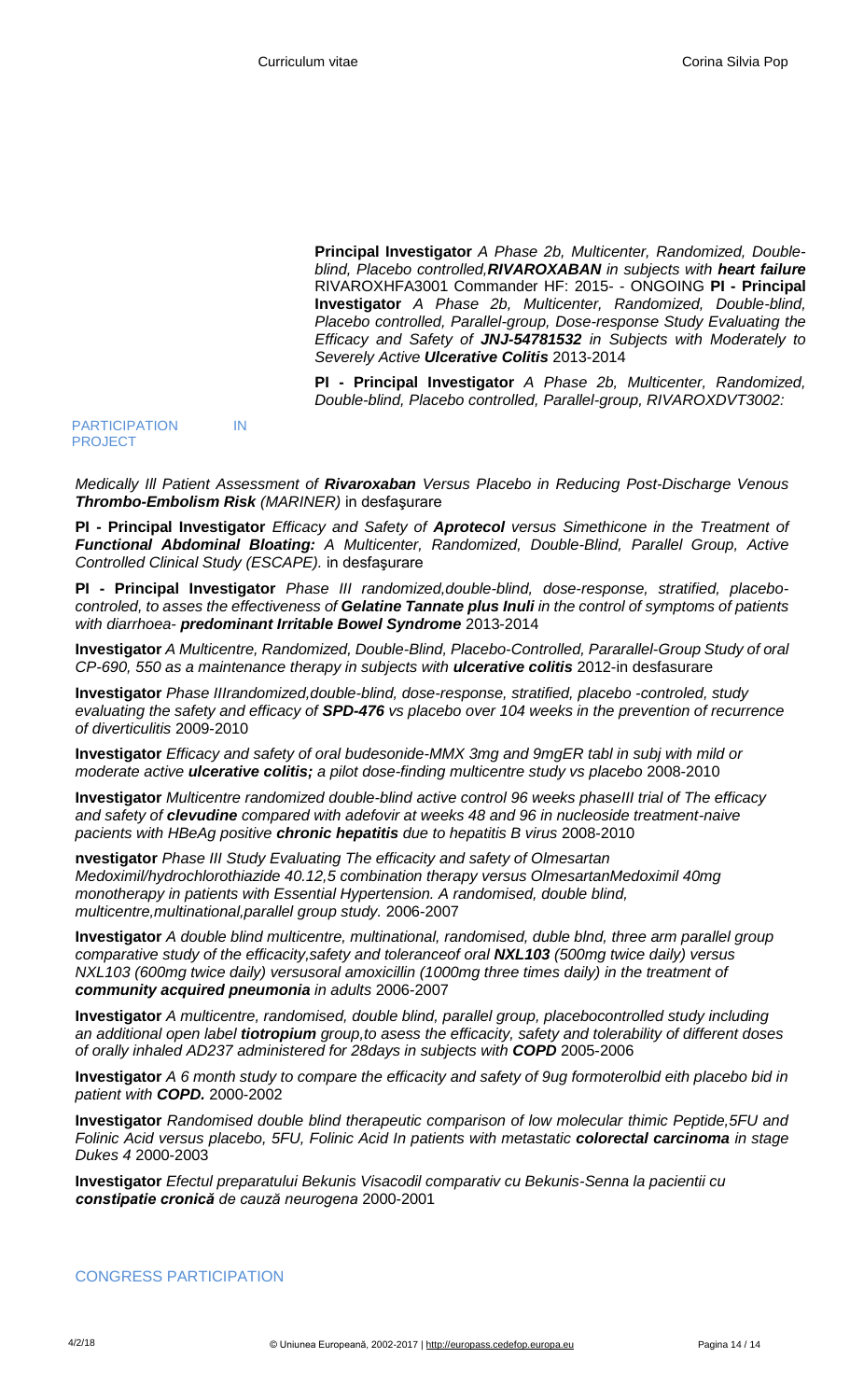**Principal Investigator** *A Phase 2b, Multicenter, Randomized, Doubleblind, Placebo controlled,RIVAROXABAN in subjects with heart failure*  RIVAROXHFA3001 Commander HF: 2015- - ONGOING **PI - Principal Investigator** *A Phase 2b, Multicenter, Randomized, Double-blind, Placebo controlled, Parallel-group, Dose-response Study Evaluating the Efficacy and Safety of JNJ-54781532 in Subjects with Moderately to Severely Active Ulcerative Colitis* 2013-2014

**PI - Principal Investigator** *A Phase 2b, Multicenter, Randomized, Double-blind, Placebo controlled, Parallel-group, RIVAROXDVT3002:*

## PARTICIPATION IN PROJECT

*Medically Ill Patient Assessment of Rivaroxaban Versus Placebo in Reducing Post-Discharge Venous Thrombo-Embolism Risk (MARINER)* in desfaşurare

**PI - Principal Investigator** *Efficacy and Safety of Aprotecol versus Simethicone in the Treatment of Functional Abdominal Bloating: A Multicenter, Randomized, Double-Blind, Parallel Group, Active Controlled Clinical Study (ESCAPE).* in desfaşurare

**PI - Principal Investigator** *Phase III randomized,double-blind, dose-response, stratified, placebocontroled, to asses the effectiveness of Gelatine Tannate plus Inuli in the control of symptoms of patients with diarrhoea- predominant Irritable Bowel Syndrome* 2013-2014

**Investigator** *A Multicentre, Randomized, Double-Blind, Placebo-Controlled, Pararallel-Group Study of oral CP-690, 550 as a maintenance therapy in subjects with ulcerative colitis* 2012-in desfasurare

**Investigator** *Phase IIIrandomized,double-blind, dose-response, stratified, placebo -controled, study evaluating the safety and efficacy of SPD-476 vs placebo over 104 weeks in the prevention of recurrence of diverticulitis* 2009-2010

**Investigator** *Efficacy and safety of oral budesonide-MMX 3mg and 9mgER tabl in subj with mild or moderate active ulcerative colitis; a pilot dose-finding multicentre study vs placebo* 2008-2010

**Investigator** *Multicentre randomized double-blind active control 96 weeks phaseIII trial of The efficacy and safety of clevudine compared with adefovir at weeks 48 and 96 in nucleoside treatment-naive pacients with HBeAg positive chronic hepatitis due to hepatitis B virus* 2008-2010

**nvestigator** *Phase III Study Evaluating The efficacity and safety of Olmesartan Medoximil/hydrochlorothiazide 40.12,5 combination therapy versus OlmesartanMedoximil 40mg monotherapy in patients with Essential Hypertension. A randomised, double blind, multicentre,multinational,parallel group study.* 2006-2007

**Investigator** *A double blind multicentre, multinational, randomised, duble blnd, three arm parallel group comparative study of the efficacity,safety and toleranceof oral NXL103 (500mg twice daily) versus NXL103 (600mg twice daily) versusoral amoxicillin (1000mg three times daily) in the treatment of community acquired pneumonia in adults* 2006-2007

**Investigator** *A multicentre, randomised, double blind, parallel group, placebocontrolled study including an additional open label tiotropium group,to asess the efficacity, safety and tolerability of different doses of orally inhaled AD237 administered for 28days in subjects with COPD* 2005-2006

**Investigator** *A 6 month study to compare the efficacity and safety of 9ug formoterolbid eith placebo bid in patient with COPD.* 2000-2002

**Investigator** *Randomised double blind therapeutic comparison of low molecular thimic Peptide,5FU and Folinic Acid versus placebo, 5FU, Folinic Acid In patients with metastatic colorectal carcinoma in stage Dukes 4* 2000-2003

**Investigator** *Efectul preparatului Bekunis Visacodil comparativ cu Bekunis-Senna la pacientii cu constipatie cronică de cauză neurogena* 2000-2001

## CONGRESS PARTICIPATION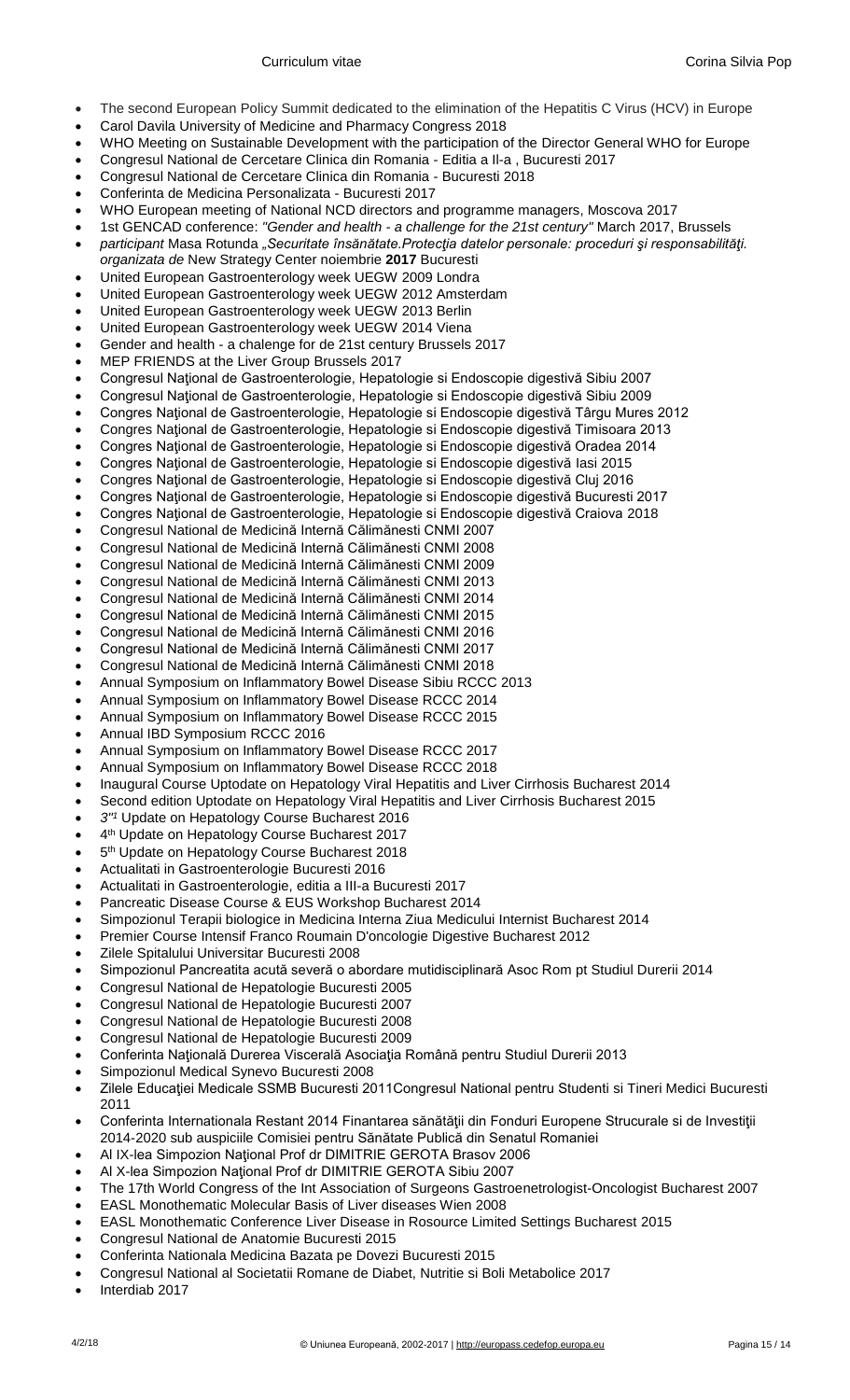- The second European Policy Summit dedicated to the elimination of the Hepatitis C Virus (HCV) in Europe
- Carol Davila University of Medicine and Pharmacy Congress 2018
- WHO Meeting on Sustainable Development with the participation of the Director General WHO for Europe
- Congresul National de Cercetare Clinica din Romania Editia a Il-a , Bucuresti 2017
- Congresul National de Cercetare Clinica din Romania Bucuresti 2018
- Conferinta de Medicina Personalizata Bucuresti 2017
- WHO European meeting of National NCD directors and programme managers, Moscova 2017
- 1st GENCAD conference: *"Gender and health - a challenge for the 21st century"* March 2017, Brussels
- *participant* Masa Rotunda *"Securitate însănătate.Protecţia datelor personale: proceduri şi responsabilităţi. organizata de* New Strategy Center noiembrie **2017** Bucuresti
- United European Gastroenterology week UEGW 2009 Londra
- United European Gastroenterology week UEGW 2012 Amsterdam
- United European Gastroenterology week UEGW 2013 Berlin
- United European Gastroenterology week UEGW 2014 Viena
- Gender and health a chalenge for de 21st century Brussels 2017
- MEP FRIENDS at the Liver Group Brussels 2017
- Congresul Naţional de Gastroenterologie, Hepatologie si Endoscopie digestivă Sibiu 2007
- Congresul Naţional de Gastroenterologie, Hepatologie si Endoscopie digestivă Sibiu 2009
- Congres Naţional de Gastroenterologie, Hepatologie si Endoscopie digestivă Târgu Mures 2012
- Congres Naţional de Gastroenterologie, Hepatologie si Endoscopie digestivă Timisoara 2013
- Congres Naţional de Gastroenterologie, Hepatologie si Endoscopie digestivă Oradea 2014
- Congres Naţional de Gastroenterologie, Hepatologie si Endoscopie digestivă Iasi 2015
- Congres Naţional de Gastroenterologie, Hepatologie si Endoscopie digestivă Cluj 2016
- Congres Naţional de Gastroenterologie, Hepatologie si Endoscopie digestivă Bucuresti 2017
- Congres Naţional de Gastroenterologie, Hepatologie si Endoscopie digestivă Craiova 2018
- Congresul National de Medicină Internă Călimănesti CNMI 2007
- Congresul National de Medicină Internă Călimănesti CNMI 2008 Congresul National de Medicină Internă Călimănesti CNMI 2009
- Congresul National de Medicină Internă Călimănesti CNMI 2013
- Congresul National de Medicină Internă Călimănesti CNMI 2014
- Congresul National de Medicină Internă Călimănesti CNMI 2015
- Congresul National de Medicină Internă Călimănesti CNMI 2016
- Congresul National de Medicină Internă Călimănesti CNMI 2017
- Congresul National de Medicină Internă Călimănesti CNMI 2018
- Annual Symposium on Inflammatory Bowel Disease Sibiu RCCC 2013
- Annual Symposium on Inflammatory Bowel Disease RCCC 2014
- Annual Symposium on Inflammatory Bowel Disease RCCC 2015
- Annual IBD Symposium RCCC 2016
- Annual Symposium on Inflammatory Bowel Disease RCCC 2017
- Annual Symposium on Inflammatory Bowel Disease RCCC 2018
- Inaugural Course Uptodate on Hepatology Viral Hepatitis and Liver Cirrhosis Bucharest 2014
- Second edition Uptodate on Hepatology Viral Hepatitis and Liver Cirrhosis Bucharest 2015
- *3"<sup>1</sup>* Update on Hepatology Course Bucharest 2016
- 4<sup>th</sup> Update on Hepatology Course Bucharest 2017
- 5<sup>th</sup> Update on Hepatology Course Bucharest 2018
- Actualitati in Gastroenterologie Bucuresti 2016
- Actualitati in Gastroenterologie, editia a III-a Bucuresti 2017
- Pancreatic Disease Course & EUS Workshop Bucharest 2014
- Simpozionul Terapii biologice in Medicina Interna Ziua Medicului Internist Bucharest 2014
- Premier Course Intensif Franco Roumain D'oncologie Digestive Bucharest 2012
- Zilele Spitalului Universitar Bucuresti 2008
- Simpozionul Pancreatita acută severă o abordare mutidisciplinară Asoc Rom pt Studiul Durerii 2014
- Congresul National de Hepatologie Bucuresti 2005
- Congresul National de Hepatologie Bucuresti 2007
- Congresul National de Hepatologie Bucuresti 2008
- Congresul National de Hepatologie Bucuresti 2009
- Conferinta Naţională Durerea Viscerală Asociaţia Română pentru Studiul Durerii 2013
- Simpozionul Medical Synevo Bucuresti 2008
- Zilele Educaţiei Medicale SSMB Bucuresti 2011Congresul National pentru Studenti si Tineri Medici Bucuresti 2011
- Conferinta Internationala Restant 2014 Finantarea sănătăţii din Fonduri Europene Strucurale si de Investiţii 2014-2020 sub auspiciile Comisiei pentru Sănătate Publică din Senatul Romaniei
- Al IX-lea Simpozion Naţional Prof dr DIMITRIE GEROTA Brasov 2006
- Al X-lea Simpozion Naţional Prof dr DIMITRIE GEROTA Sibiu 2007
- The 17th World Congress of the Int Association of Surgeons Gastroenetrologist-Oncologist Bucharest 2007
- EASL Monothematic Molecular Basis of Liver diseases Wien 2008
- EASL Monothematic Conference Liver Disease in Rosource Limited Settings Bucharest 2015
- Congresul National de Anatomie Bucuresti 2015
- Conferinta Nationala Medicina Bazata pe Dovezi Bucuresti 2015
- Congresul National al Societatii Romane de Diabet, Nutritie si Boli Metabolice 2017
- Interdiab 2017